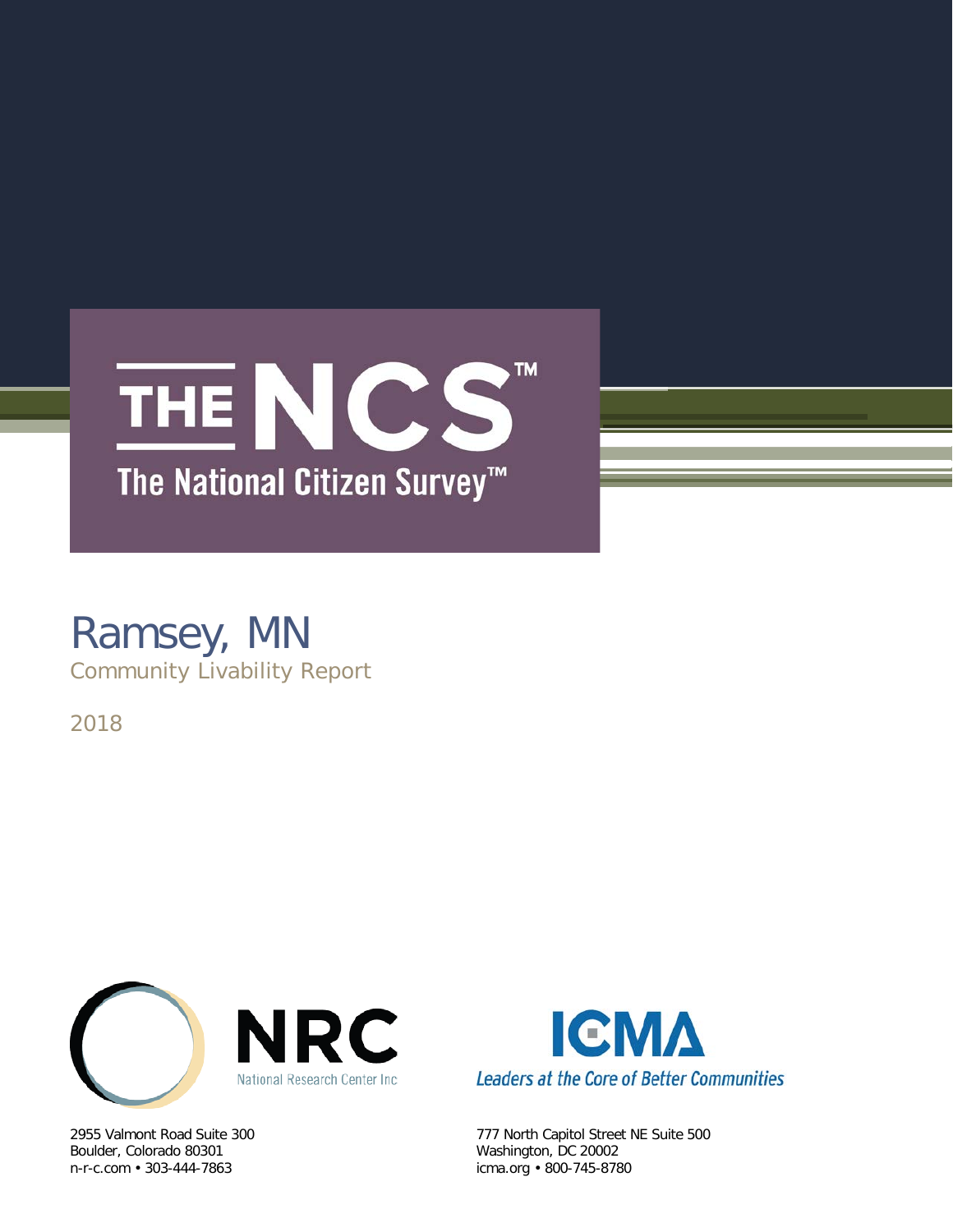

### Ramsey, MN Community Livability Report

2018



Boulder, Colorado 80301 Washington, DC 20002<br>
n-r-c.com • 303-444-7863 (icma.org • 800-745-878



2955 Valmont Road Suite 300 777 North Capitol Street NE Suite 500 icma.org • 800-745-8780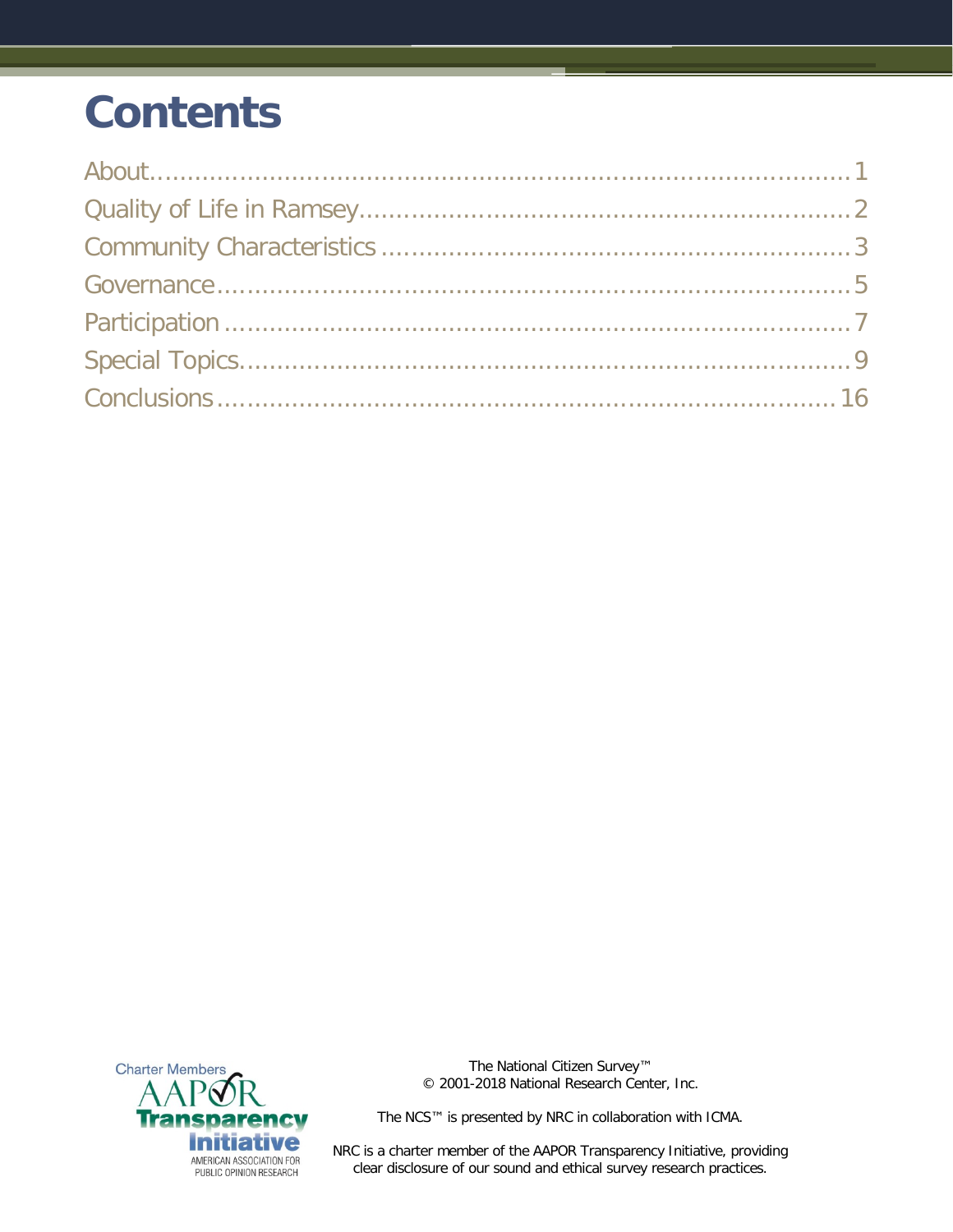# **Contents**



The National Citizen Survey™ © 2001-2018 National Research Center, Inc.

The NCS™ is presented by NRC in collaboration with ICMA.

NRC is a charter member of the AAPOR Transparency Initiative, providing clear disclosure of our sound and ethical survey research practices.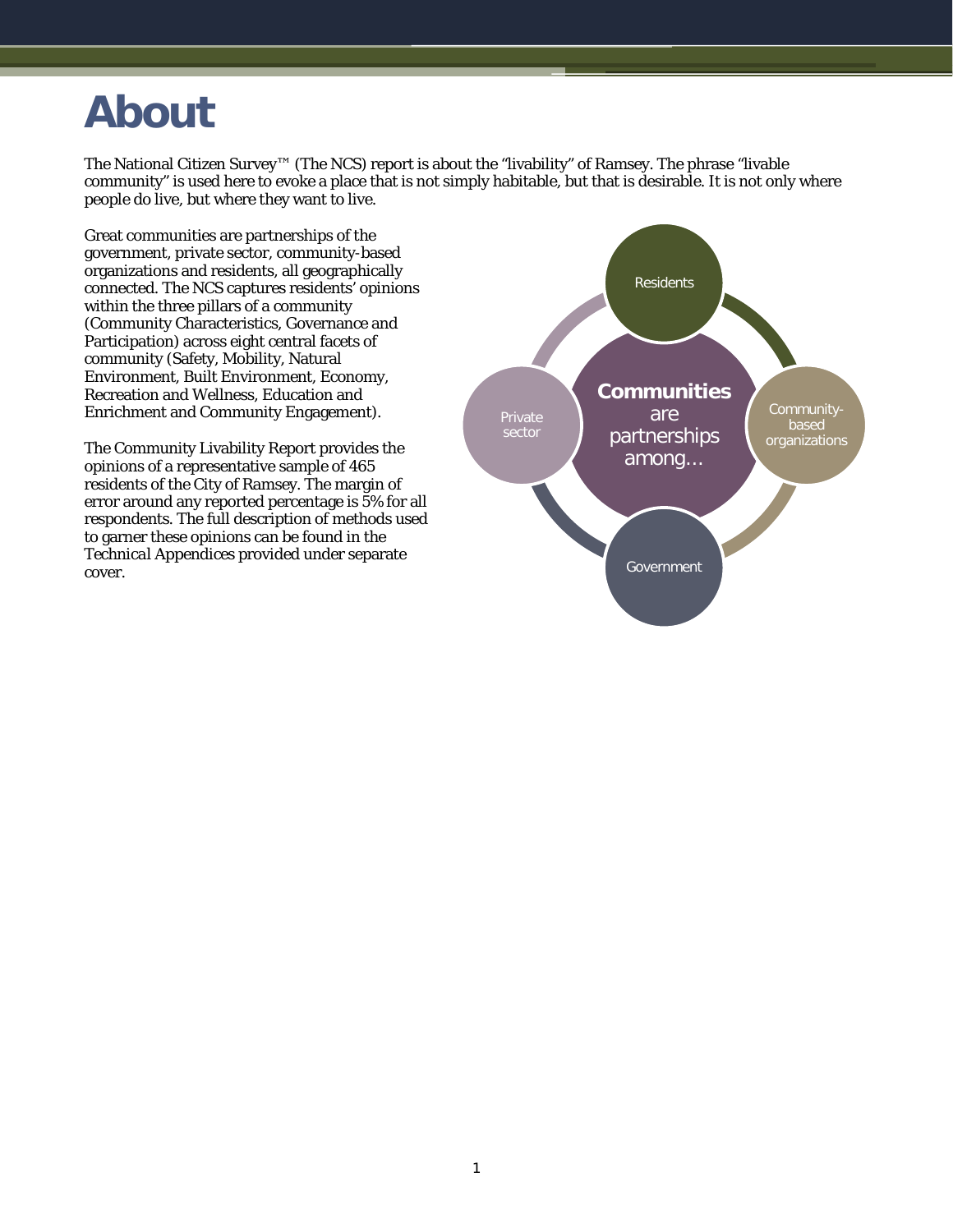### <span id="page-2-0"></span>**About**

The National Citizen Survey™ (The NCS) report is about the "livability" of Ramsey. The phrase "livable community" is used here to evoke a place that is not simply habitable, but that is desirable. It is not only where people do live, but where they want to live.

Great communities are partnerships of the government, private sector, community-based organizations and residents, all geographically connected. The NCS captures residents' opinions within the three pillars of a community (Community Characteristics, Governance and Participation) across eight central facets of community (Safety, Mobility, Natural Environment, Built Environment, Economy, Recreation and Wellness, Education and Enrichment and Community Engagement).

The Community Livability Report provides the opinions of a representative sample of 465 residents of the City of Ramsey. The margin of error around any reported percentage is 5% for all respondents. The full description of methods used to garner these opinions can be found in the *Technical Appendices* provided under separate cover.

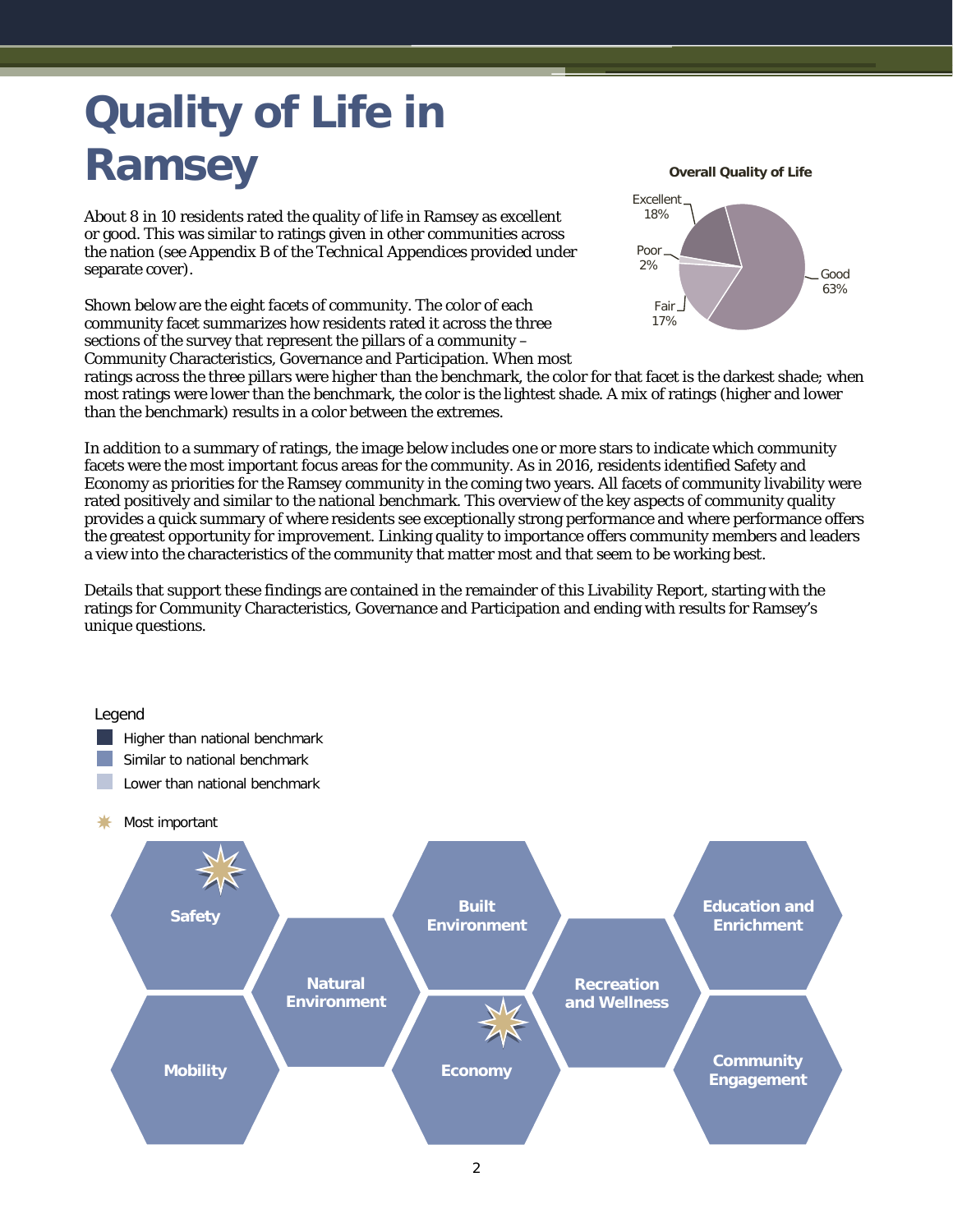# <span id="page-3-0"></span>**Quality of Life in Ramsey**

About 8 in 10 residents rated the quality of life in Ramsey as excellent or good. This was similar to ratings given in other communities across the nation (see Appendix B of the *Technical Appendices* provided under separate cover).

Shown below are the eight facets of community. The color of each community facet summarizes how residents rated it across the three sections of the survey that represent the pillars of a community – Community Characteristics, Governance and Participation. When most **Overall Quality of Life**



ratings across the three pillars were higher than the benchmark, the color for that facet is the darkest shade; when most ratings were lower than the benchmark, the color is the lightest shade. A mix of ratings (higher and lower than the benchmark) results in a color between the extremes.

In addition to a summary of ratings, the image below includes one or more stars to indicate which community facets were the most important focus areas for the community. As in 2016, residents identified Safety and Economy as priorities for the Ramsey community in the coming two years. All facets of community livability were rated positively and similar to the national benchmark. This overview of the key aspects of community quality provides a quick summary of where residents see exceptionally strong performance and where performance offers the greatest opportunity for improvement. Linking quality to importance offers community members and leaders a view into the characteristics of the community that matter most and that seem to be working best.

Details that support these findings are contained in the remainder of this Livability Report, starting with the ratings for Community Characteristics, Governance and Participation and ending with results for Ramsey's unique questions.

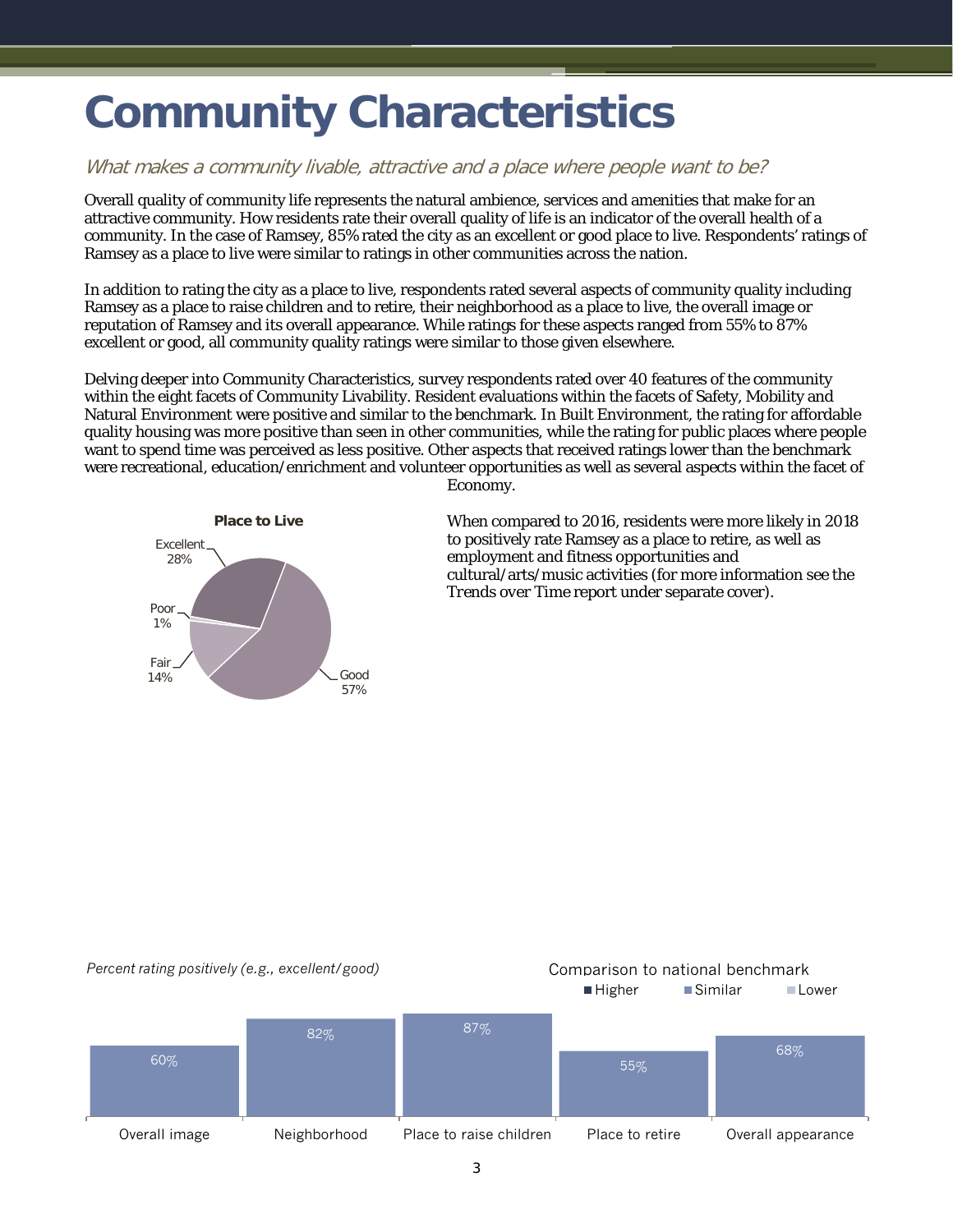## <span id="page-4-0"></span>**Community Characteristics**

#### What makes a community livable, attractive and a place where people want to be?

Overall quality of community life represents the natural ambience, services and amenities that make for an attractive community. How residents rate their overall quality of life is an indicator of the overall health of a community. In the case of Ramsey, 85% rated the city as an excellent or good place to live. Respondents' ratings of Ramsey as a place to live were similar to ratings in other communities across the nation.

In addition to rating the city as a place to live, respondents rated several aspects of community quality including Ramsey as a place to raise children and to retire, their neighborhood as a place to live, the overall image or reputation of Ramsey and its overall appearance. While ratings for these aspects ranged from 55% to 87% excellent or good, all community quality ratings were similar to those given elsewhere.

Delving deeper into Community Characteristics, survey respondents rated over 40 features of the community within the eight facets of Community Livability. Resident evaluations within the facets of Safety, Mobility and Natural Environment were positive and similar to the benchmark. In Built Environment, the rating for affordable quality housing was more positive than seen in other communities, while the rating for public places where people want to spend time was perceived as less positive. Other aspects that received ratings lower than the benchmark were recreational, education/enrichment and volunteer opportunities as well as several aspects within the facet of



Economy.

When compared to 2016, residents were more likely in 2018 to positively rate Ramsey as a place to retire, as well as employment and fitness opportunities and cultural/arts/music activities (for more information see the *Trends over Time* report under separate cover).

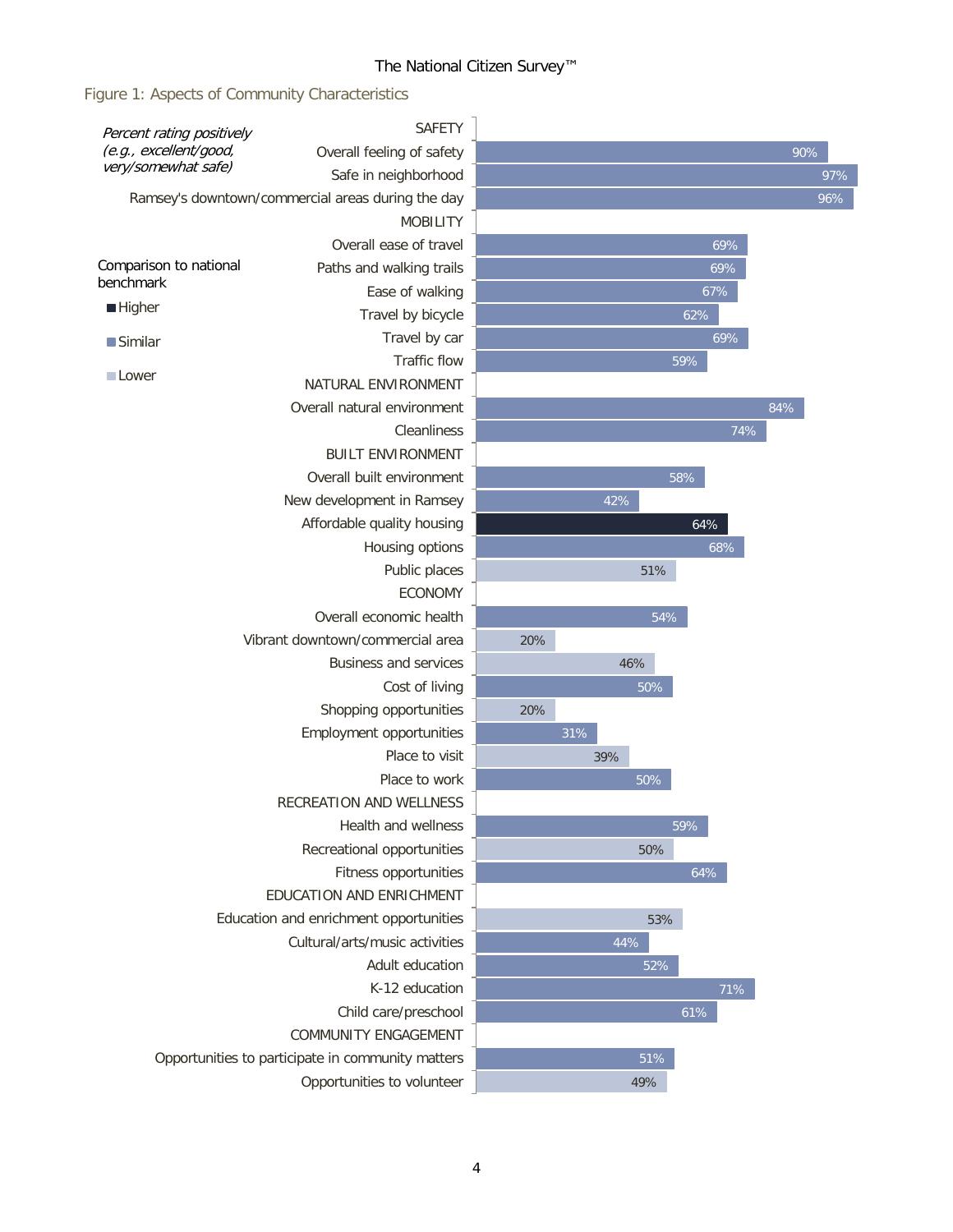Figure 1: Aspects of Community Characteristics

| (e.g., excellent/good,<br>90%<br>Overall feeling of safety<br>very/somewhat safe)<br>Safe in neighborhood<br>97%<br>96%<br>Ramsey's downtown/commercial areas during the day<br><b>MOBILITY</b><br>Overall ease of travel<br>69%<br>Paths and walking trails<br>69%<br>benchmark<br>Ease of walking<br>67%<br><b>Higher</b><br>Travel by bicycle<br>62%<br>69%<br>Travel by car<br>$\blacksquare$ Similar<br>Traffic flow<br>59%<br><b>Lower</b><br>NATURAL ENVIRONMENT<br>Overall natural environment<br>84%<br>Cleanliness<br>74%<br><b>BUILT ENVIRONMENT</b><br>Overall built environment<br>58%<br>New development in Ramsey<br>42%<br>Affordable quality housing<br>64%<br>Housing options<br>68%<br>Public places<br>51%<br><b>ECONOMY</b><br>Overall economic health<br>54%<br>Vibrant downtown/commercial area<br>20%<br><b>Business and services</b><br>46%<br>Cost of living<br>50%<br>Shopping opportunities<br>20%<br>Employment opportunities<br>31%<br>Place to visit<br>39%<br>Place to work<br>50%<br><b>RECREATION AND WELLNESS</b><br>Health and wellness<br>59%<br>Recreational opportunities<br>50%<br>64%<br>Fitness opportunities<br>EDUCATION AND ENRICHMENT<br>Education and enrichment opportunities<br>53%<br>Cultural/arts/music activities<br>44%<br>Adult education<br>52%<br>K-12 education<br>71%<br>Child care/preschool<br>61%<br><b>COMMUNITY ENGAGEMENT</b><br>Opportunities to participate in community matters<br>51%<br>Opportunities to volunteer<br>49% | Percent rating positively | <b>SAFETY</b> |  |  |  |
|-------------------------------------------------------------------------------------------------------------------------------------------------------------------------------------------------------------------------------------------------------------------------------------------------------------------------------------------------------------------------------------------------------------------------------------------------------------------------------------------------------------------------------------------------------------------------------------------------------------------------------------------------------------------------------------------------------------------------------------------------------------------------------------------------------------------------------------------------------------------------------------------------------------------------------------------------------------------------------------------------------------------------------------------------------------------------------------------------------------------------------------------------------------------------------------------------------------------------------------------------------------------------------------------------------------------------------------------------------------------------------------------------------------------------------------------------------------------------------------------------|---------------------------|---------------|--|--|--|
|                                                                                                                                                                                                                                                                                                                                                                                                                                                                                                                                                                                                                                                                                                                                                                                                                                                                                                                                                                                                                                                                                                                                                                                                                                                                                                                                                                                                                                                                                                 |                           |               |  |  |  |
|                                                                                                                                                                                                                                                                                                                                                                                                                                                                                                                                                                                                                                                                                                                                                                                                                                                                                                                                                                                                                                                                                                                                                                                                                                                                                                                                                                                                                                                                                                 |                           |               |  |  |  |
|                                                                                                                                                                                                                                                                                                                                                                                                                                                                                                                                                                                                                                                                                                                                                                                                                                                                                                                                                                                                                                                                                                                                                                                                                                                                                                                                                                                                                                                                                                 |                           |               |  |  |  |
|                                                                                                                                                                                                                                                                                                                                                                                                                                                                                                                                                                                                                                                                                                                                                                                                                                                                                                                                                                                                                                                                                                                                                                                                                                                                                                                                                                                                                                                                                                 |                           |               |  |  |  |
|                                                                                                                                                                                                                                                                                                                                                                                                                                                                                                                                                                                                                                                                                                                                                                                                                                                                                                                                                                                                                                                                                                                                                                                                                                                                                                                                                                                                                                                                                                 |                           |               |  |  |  |
|                                                                                                                                                                                                                                                                                                                                                                                                                                                                                                                                                                                                                                                                                                                                                                                                                                                                                                                                                                                                                                                                                                                                                                                                                                                                                                                                                                                                                                                                                                 | Comparison to national    |               |  |  |  |
|                                                                                                                                                                                                                                                                                                                                                                                                                                                                                                                                                                                                                                                                                                                                                                                                                                                                                                                                                                                                                                                                                                                                                                                                                                                                                                                                                                                                                                                                                                 |                           |               |  |  |  |
|                                                                                                                                                                                                                                                                                                                                                                                                                                                                                                                                                                                                                                                                                                                                                                                                                                                                                                                                                                                                                                                                                                                                                                                                                                                                                                                                                                                                                                                                                                 |                           |               |  |  |  |
|                                                                                                                                                                                                                                                                                                                                                                                                                                                                                                                                                                                                                                                                                                                                                                                                                                                                                                                                                                                                                                                                                                                                                                                                                                                                                                                                                                                                                                                                                                 |                           |               |  |  |  |
|                                                                                                                                                                                                                                                                                                                                                                                                                                                                                                                                                                                                                                                                                                                                                                                                                                                                                                                                                                                                                                                                                                                                                                                                                                                                                                                                                                                                                                                                                                 |                           |               |  |  |  |
|                                                                                                                                                                                                                                                                                                                                                                                                                                                                                                                                                                                                                                                                                                                                                                                                                                                                                                                                                                                                                                                                                                                                                                                                                                                                                                                                                                                                                                                                                                 |                           |               |  |  |  |
|                                                                                                                                                                                                                                                                                                                                                                                                                                                                                                                                                                                                                                                                                                                                                                                                                                                                                                                                                                                                                                                                                                                                                                                                                                                                                                                                                                                                                                                                                                 |                           |               |  |  |  |
|                                                                                                                                                                                                                                                                                                                                                                                                                                                                                                                                                                                                                                                                                                                                                                                                                                                                                                                                                                                                                                                                                                                                                                                                                                                                                                                                                                                                                                                                                                 |                           |               |  |  |  |
|                                                                                                                                                                                                                                                                                                                                                                                                                                                                                                                                                                                                                                                                                                                                                                                                                                                                                                                                                                                                                                                                                                                                                                                                                                                                                                                                                                                                                                                                                                 |                           |               |  |  |  |
|                                                                                                                                                                                                                                                                                                                                                                                                                                                                                                                                                                                                                                                                                                                                                                                                                                                                                                                                                                                                                                                                                                                                                                                                                                                                                                                                                                                                                                                                                                 |                           |               |  |  |  |
|                                                                                                                                                                                                                                                                                                                                                                                                                                                                                                                                                                                                                                                                                                                                                                                                                                                                                                                                                                                                                                                                                                                                                                                                                                                                                                                                                                                                                                                                                                 |                           |               |  |  |  |
|                                                                                                                                                                                                                                                                                                                                                                                                                                                                                                                                                                                                                                                                                                                                                                                                                                                                                                                                                                                                                                                                                                                                                                                                                                                                                                                                                                                                                                                                                                 |                           |               |  |  |  |
|                                                                                                                                                                                                                                                                                                                                                                                                                                                                                                                                                                                                                                                                                                                                                                                                                                                                                                                                                                                                                                                                                                                                                                                                                                                                                                                                                                                                                                                                                                 |                           |               |  |  |  |
|                                                                                                                                                                                                                                                                                                                                                                                                                                                                                                                                                                                                                                                                                                                                                                                                                                                                                                                                                                                                                                                                                                                                                                                                                                                                                                                                                                                                                                                                                                 |                           |               |  |  |  |
|                                                                                                                                                                                                                                                                                                                                                                                                                                                                                                                                                                                                                                                                                                                                                                                                                                                                                                                                                                                                                                                                                                                                                                                                                                                                                                                                                                                                                                                                                                 |                           |               |  |  |  |
|                                                                                                                                                                                                                                                                                                                                                                                                                                                                                                                                                                                                                                                                                                                                                                                                                                                                                                                                                                                                                                                                                                                                                                                                                                                                                                                                                                                                                                                                                                 |                           |               |  |  |  |
|                                                                                                                                                                                                                                                                                                                                                                                                                                                                                                                                                                                                                                                                                                                                                                                                                                                                                                                                                                                                                                                                                                                                                                                                                                                                                                                                                                                                                                                                                                 |                           |               |  |  |  |
|                                                                                                                                                                                                                                                                                                                                                                                                                                                                                                                                                                                                                                                                                                                                                                                                                                                                                                                                                                                                                                                                                                                                                                                                                                                                                                                                                                                                                                                                                                 |                           |               |  |  |  |
|                                                                                                                                                                                                                                                                                                                                                                                                                                                                                                                                                                                                                                                                                                                                                                                                                                                                                                                                                                                                                                                                                                                                                                                                                                                                                                                                                                                                                                                                                                 |                           |               |  |  |  |
|                                                                                                                                                                                                                                                                                                                                                                                                                                                                                                                                                                                                                                                                                                                                                                                                                                                                                                                                                                                                                                                                                                                                                                                                                                                                                                                                                                                                                                                                                                 |                           |               |  |  |  |
|                                                                                                                                                                                                                                                                                                                                                                                                                                                                                                                                                                                                                                                                                                                                                                                                                                                                                                                                                                                                                                                                                                                                                                                                                                                                                                                                                                                                                                                                                                 |                           |               |  |  |  |
|                                                                                                                                                                                                                                                                                                                                                                                                                                                                                                                                                                                                                                                                                                                                                                                                                                                                                                                                                                                                                                                                                                                                                                                                                                                                                                                                                                                                                                                                                                 |                           |               |  |  |  |
|                                                                                                                                                                                                                                                                                                                                                                                                                                                                                                                                                                                                                                                                                                                                                                                                                                                                                                                                                                                                                                                                                                                                                                                                                                                                                                                                                                                                                                                                                                 |                           |               |  |  |  |
|                                                                                                                                                                                                                                                                                                                                                                                                                                                                                                                                                                                                                                                                                                                                                                                                                                                                                                                                                                                                                                                                                                                                                                                                                                                                                                                                                                                                                                                                                                 |                           |               |  |  |  |
|                                                                                                                                                                                                                                                                                                                                                                                                                                                                                                                                                                                                                                                                                                                                                                                                                                                                                                                                                                                                                                                                                                                                                                                                                                                                                                                                                                                                                                                                                                 |                           |               |  |  |  |
|                                                                                                                                                                                                                                                                                                                                                                                                                                                                                                                                                                                                                                                                                                                                                                                                                                                                                                                                                                                                                                                                                                                                                                                                                                                                                                                                                                                                                                                                                                 |                           |               |  |  |  |
|                                                                                                                                                                                                                                                                                                                                                                                                                                                                                                                                                                                                                                                                                                                                                                                                                                                                                                                                                                                                                                                                                                                                                                                                                                                                                                                                                                                                                                                                                                 |                           |               |  |  |  |
|                                                                                                                                                                                                                                                                                                                                                                                                                                                                                                                                                                                                                                                                                                                                                                                                                                                                                                                                                                                                                                                                                                                                                                                                                                                                                                                                                                                                                                                                                                 |                           |               |  |  |  |
|                                                                                                                                                                                                                                                                                                                                                                                                                                                                                                                                                                                                                                                                                                                                                                                                                                                                                                                                                                                                                                                                                                                                                                                                                                                                                                                                                                                                                                                                                                 |                           |               |  |  |  |
|                                                                                                                                                                                                                                                                                                                                                                                                                                                                                                                                                                                                                                                                                                                                                                                                                                                                                                                                                                                                                                                                                                                                                                                                                                                                                                                                                                                                                                                                                                 |                           |               |  |  |  |
|                                                                                                                                                                                                                                                                                                                                                                                                                                                                                                                                                                                                                                                                                                                                                                                                                                                                                                                                                                                                                                                                                                                                                                                                                                                                                                                                                                                                                                                                                                 |                           |               |  |  |  |
|                                                                                                                                                                                                                                                                                                                                                                                                                                                                                                                                                                                                                                                                                                                                                                                                                                                                                                                                                                                                                                                                                                                                                                                                                                                                                                                                                                                                                                                                                                 |                           |               |  |  |  |
|                                                                                                                                                                                                                                                                                                                                                                                                                                                                                                                                                                                                                                                                                                                                                                                                                                                                                                                                                                                                                                                                                                                                                                                                                                                                                                                                                                                                                                                                                                 |                           |               |  |  |  |
|                                                                                                                                                                                                                                                                                                                                                                                                                                                                                                                                                                                                                                                                                                                                                                                                                                                                                                                                                                                                                                                                                                                                                                                                                                                                                                                                                                                                                                                                                                 |                           |               |  |  |  |
|                                                                                                                                                                                                                                                                                                                                                                                                                                                                                                                                                                                                                                                                                                                                                                                                                                                                                                                                                                                                                                                                                                                                                                                                                                                                                                                                                                                                                                                                                                 |                           |               |  |  |  |
|                                                                                                                                                                                                                                                                                                                                                                                                                                                                                                                                                                                                                                                                                                                                                                                                                                                                                                                                                                                                                                                                                                                                                                                                                                                                                                                                                                                                                                                                                                 |                           |               |  |  |  |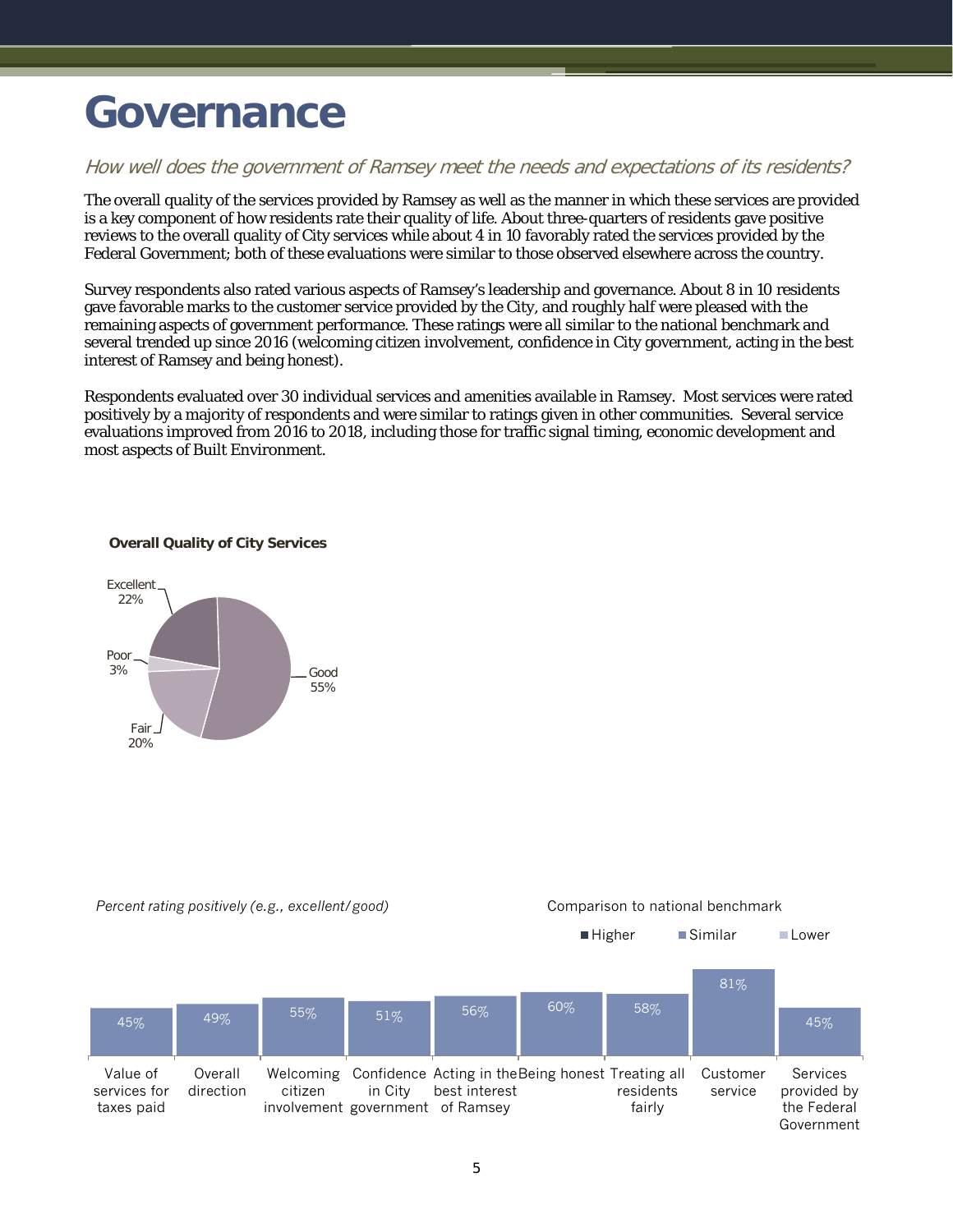### <span id="page-6-0"></span>**Governance**

#### How well does the government of Ramsey meet the needs and expectations of its residents?

The overall quality of the services provided by Ramsey as well as the manner in which these services are provided is a key component of how residents rate their quality of life. About three-quarters of residents gave positive reviews to the overall quality of City services while about 4 in 10 favorably rated the services provided by the Federal Government; both of these evaluations were similar to those observed elsewhere across the country.

Survey respondents also rated various aspects of Ramsey's leadership and governance. About 8 in 10 residents gave favorable marks to the customer service provided by the City, and roughly half were pleased with the remaining aspects of government performance. These ratings were all similar to the national benchmark and several trended up since 2016 (welcoming citizen involvement, confidence in City government, acting in the best interest of Ramsey and being honest).

Respondents evaluated over 30 individual services and amenities available in Ramsey. Most services were rated positively by a majority of respondents and were similar to ratings given in other communities. Several service evaluations improved from 2016 to 2018, including those for traffic signal timing, economic development and most aspects of Built Environment.

#### **Overall Quality of City Services**



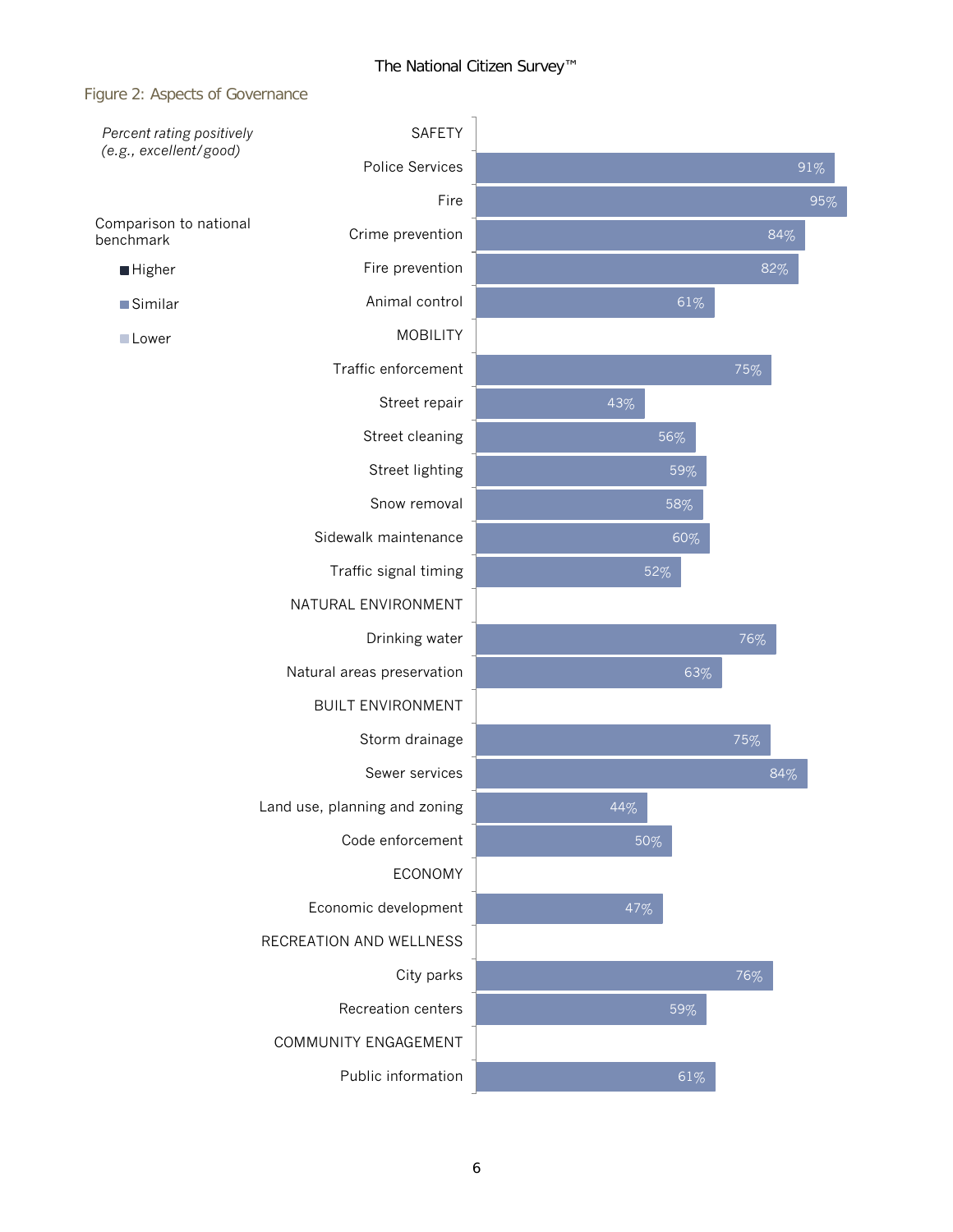#### Figure 2: Aspects of Governance

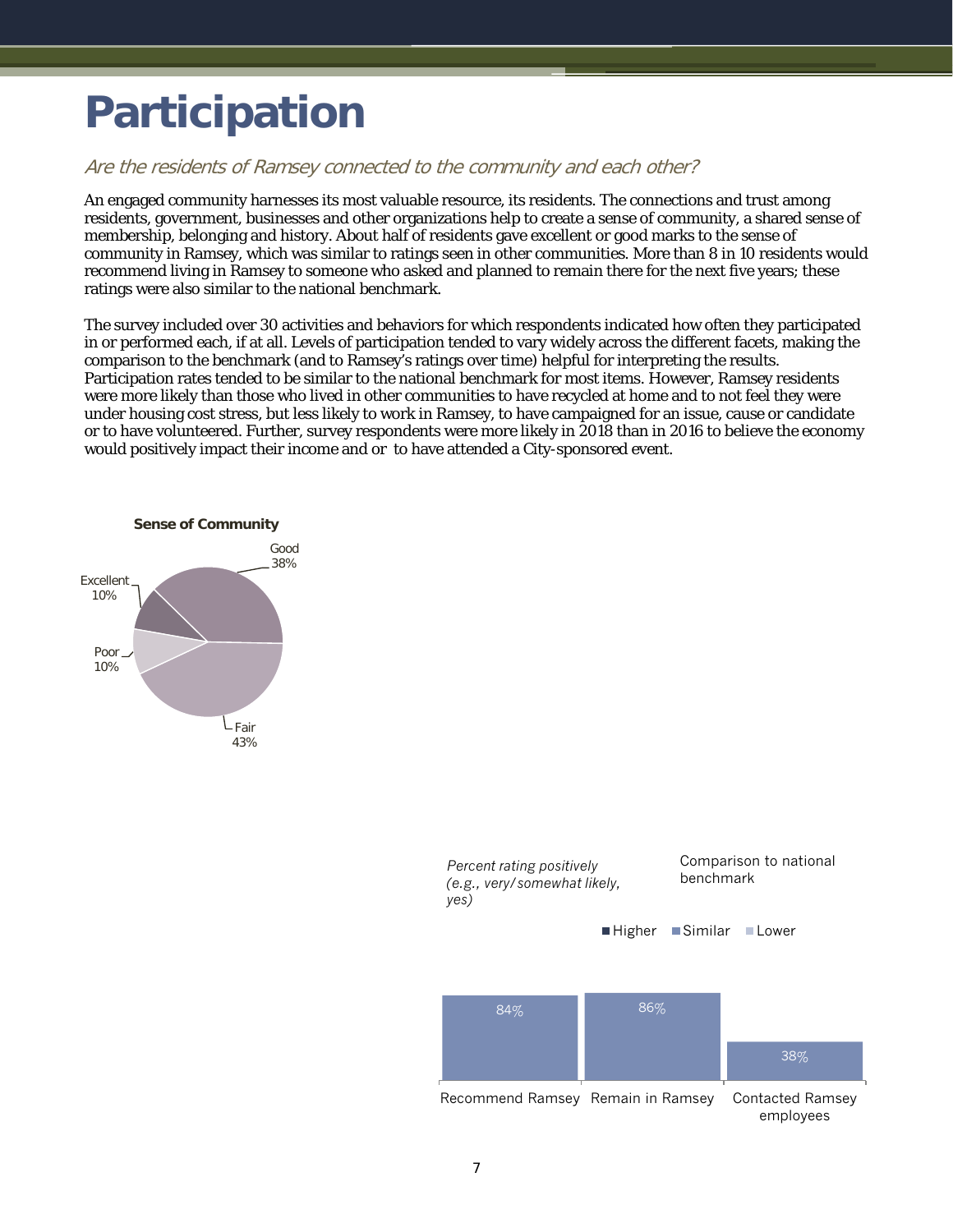# <span id="page-8-0"></span>**Participation**

#### Are the residents of Ramsey connected to the community and each other?

An engaged community harnesses its most valuable resource, its residents. The connections and trust among residents, government, businesses and other organizations help to create a sense of community, a shared sense of membership, belonging and history. About half of residents gave excellent or good marks to the sense of community in Ramsey, which was similar to ratings seen in other communities. More than 8 in 10 residents would recommend living in Ramsey to someone who asked and planned to remain there for the next five years; these ratings were also similar to the national benchmark.

The survey included over 30 activities and behaviors for which respondents indicated how often they participated in or performed each, if at all. Levels of participation tended to vary widely across the different facets, making the comparison to the benchmark (and to Ramsey's ratings over time) helpful for interpreting the results. Participation rates tended to be similar to the national benchmark for most items. However, Ramsey residents were more likely than those who lived in other communities to have recycled at home and to not feel they were under housing cost stress, but less likely to work in Ramsey, to have campaigned for an issue, cause or candidate or to have volunteered. Further, survey respondents were more likely in 2018 than in 2016 to believe the economy would positively impact their income and or to have attended a City-sponsored event.



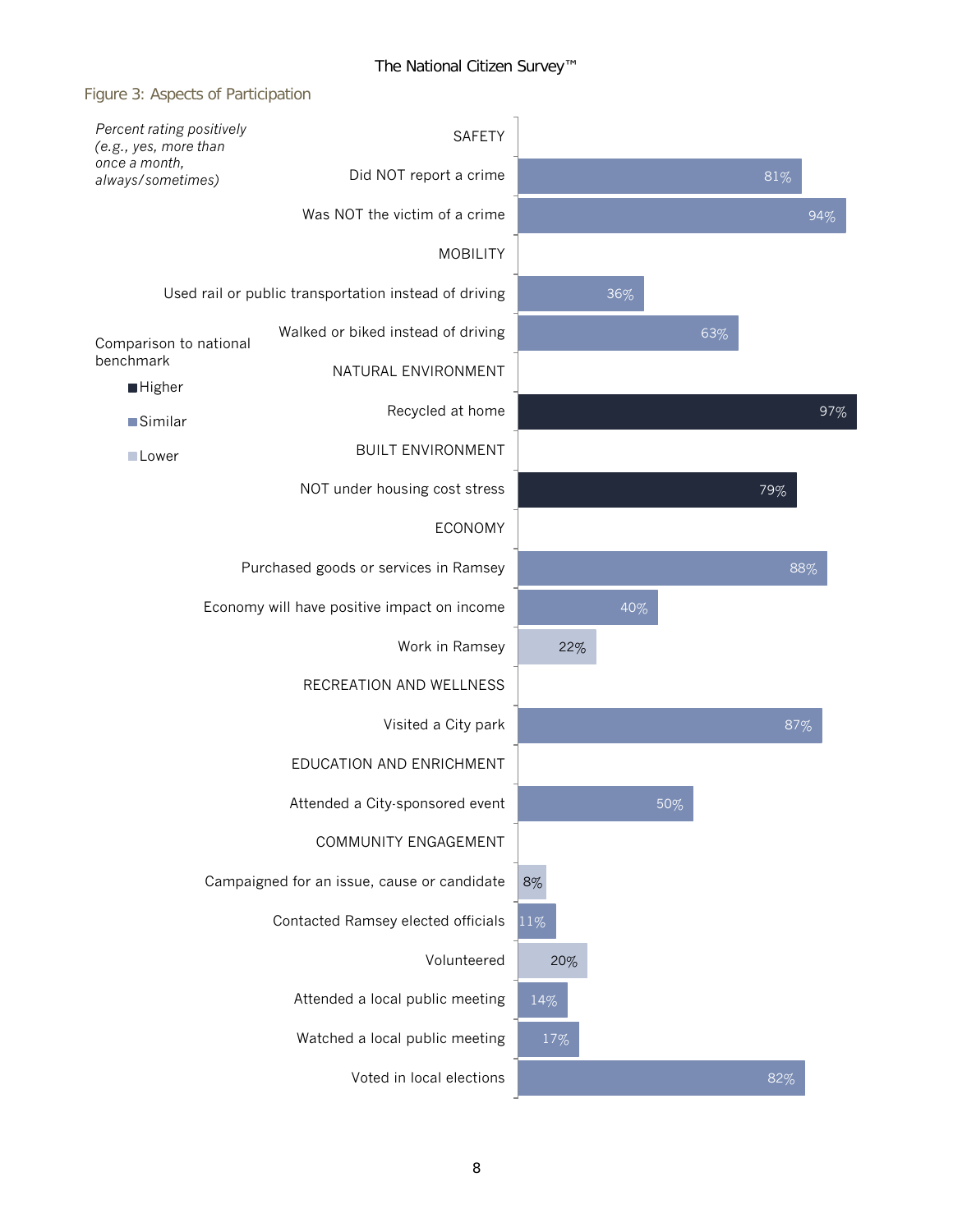#### Figure 3: Aspects of Participation

| Percent rating positively<br>(e.g., yes, more than | <b>SAFETY</b>                                         |        |        |     |     |     |
|----------------------------------------------------|-------------------------------------------------------|--------|--------|-----|-----|-----|
| once a month,<br>always/sometimes)                 | Did NOT report a crime                                |        |        |     | 81% |     |
|                                                    | Was NOT the victim of a crime                         |        |        |     |     | 94% |
|                                                    | <b>MOBILITY</b>                                       |        |        |     |     |     |
|                                                    | Used rail or public transportation instead of driving |        | $36\%$ |     |     |     |
| Comparison to national                             | Walked or biked instead of driving                    |        |        | 63% |     |     |
| benchmark<br><b>Higher</b>                         | NATURAL ENVIRONMENT                                   |        |        |     |     |     |
| Similar                                            | Recycled at home                                      |        |        |     |     | 97% |
| Lower                                              | <b>BUILT ENVIRONMENT</b>                              |        |        |     |     |     |
|                                                    | NOT under housing cost stress                         |        |        |     | 79% |     |
|                                                    | <b>ECONOMY</b>                                        |        |        |     |     |     |
|                                                    | Purchased goods or services in Ramsey                 |        |        |     |     | 88% |
|                                                    | Economy will have positive impact on income           |        | 40%    |     |     |     |
|                                                    | Work in Ramsey                                        | 22%    |        |     |     |     |
|                                                    | RECREATION AND WELLNESS                               |        |        |     |     |     |
|                                                    | Visited a City park                                   |        |        |     | 87% |     |
|                                                    | EDUCATION AND ENRICHMENT                              |        |        |     |     |     |
|                                                    | Attended a City-sponsored event                       |        | $50\%$ |     |     |     |
|                                                    | COMMUNITY ENGAGEMENT                                  |        |        |     |     |     |
|                                                    | Campaigned for an issue, cause or candidate           | 8%     |        |     |     |     |
|                                                    | Contacted Ramsey elected officials                    | $11\%$ |        |     |     |     |
|                                                    | Volunteered                                           | 20%    |        |     |     |     |
|                                                    | Attended a local public meeting                       | 14%    |        |     |     |     |
|                                                    | Watched a local public meeting                        | 17%    |        |     |     |     |
|                                                    | Voted in local elections                              |        |        |     | 82% |     |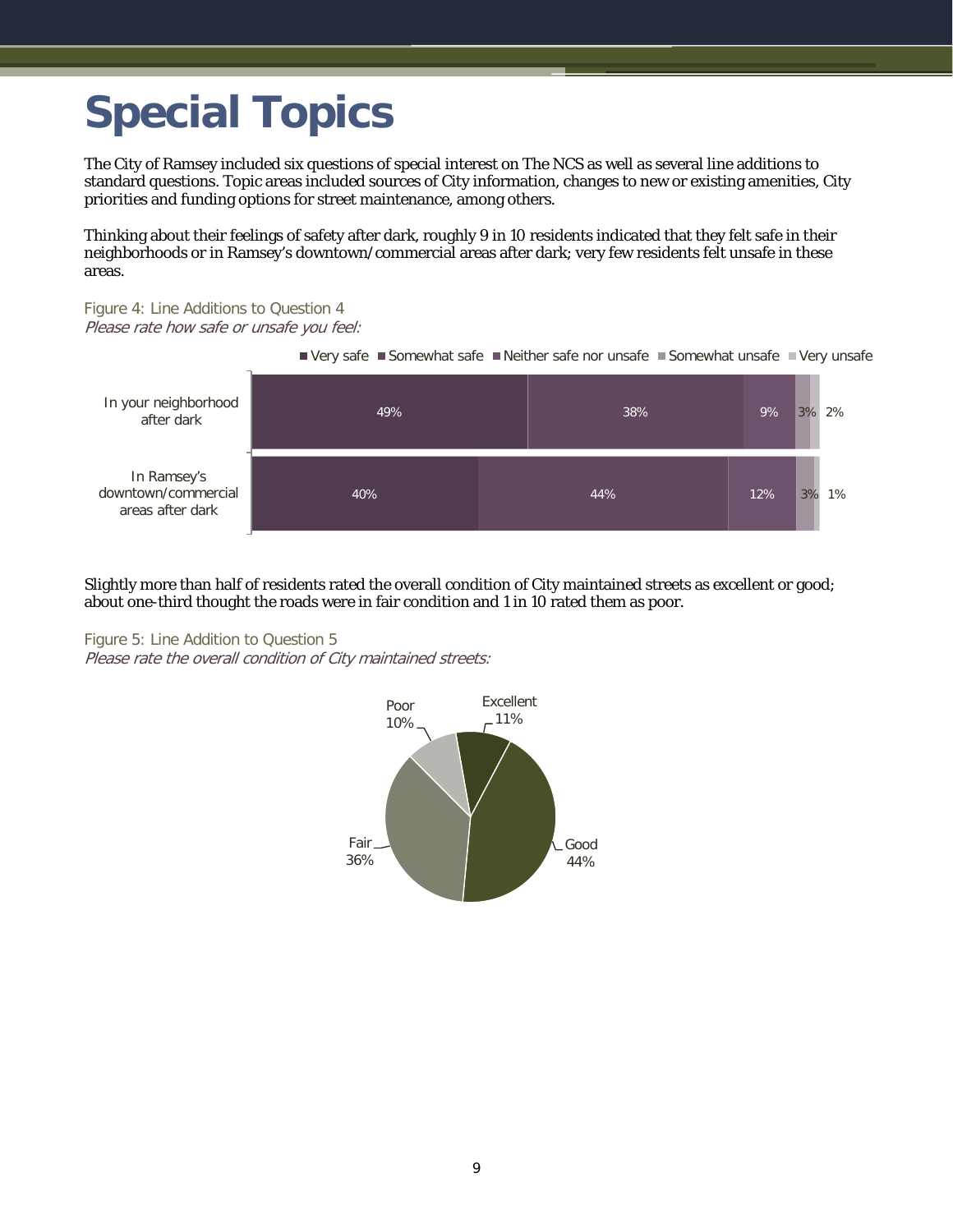# <span id="page-10-0"></span>**Special Topics**

The City of Ramsey included six questions of special interest on The NCS as well as several line additions to standard questions. Topic areas included sources of City information, changes to new or existing amenities, City priorities and funding options for street maintenance, among others.

Thinking about their feelings of safety after dark, roughly 9 in 10 residents indicated that they felt safe in their neighborhoods or in Ramsey's downtown/commercial areas after dark; very few residents felt unsafe in these areas.

### Figure 4: Line Additions to Question 4

Please rate how safe or unsafe you feel:



Slightly more than half of residents rated the overall condition of City maintained streets as excellent or good; about one-third thought the roads were in fair condition and 1 in 10 rated them as poor.

Figure 5: Line Addition to Question 5 Please rate the overall condition of City maintained streets:

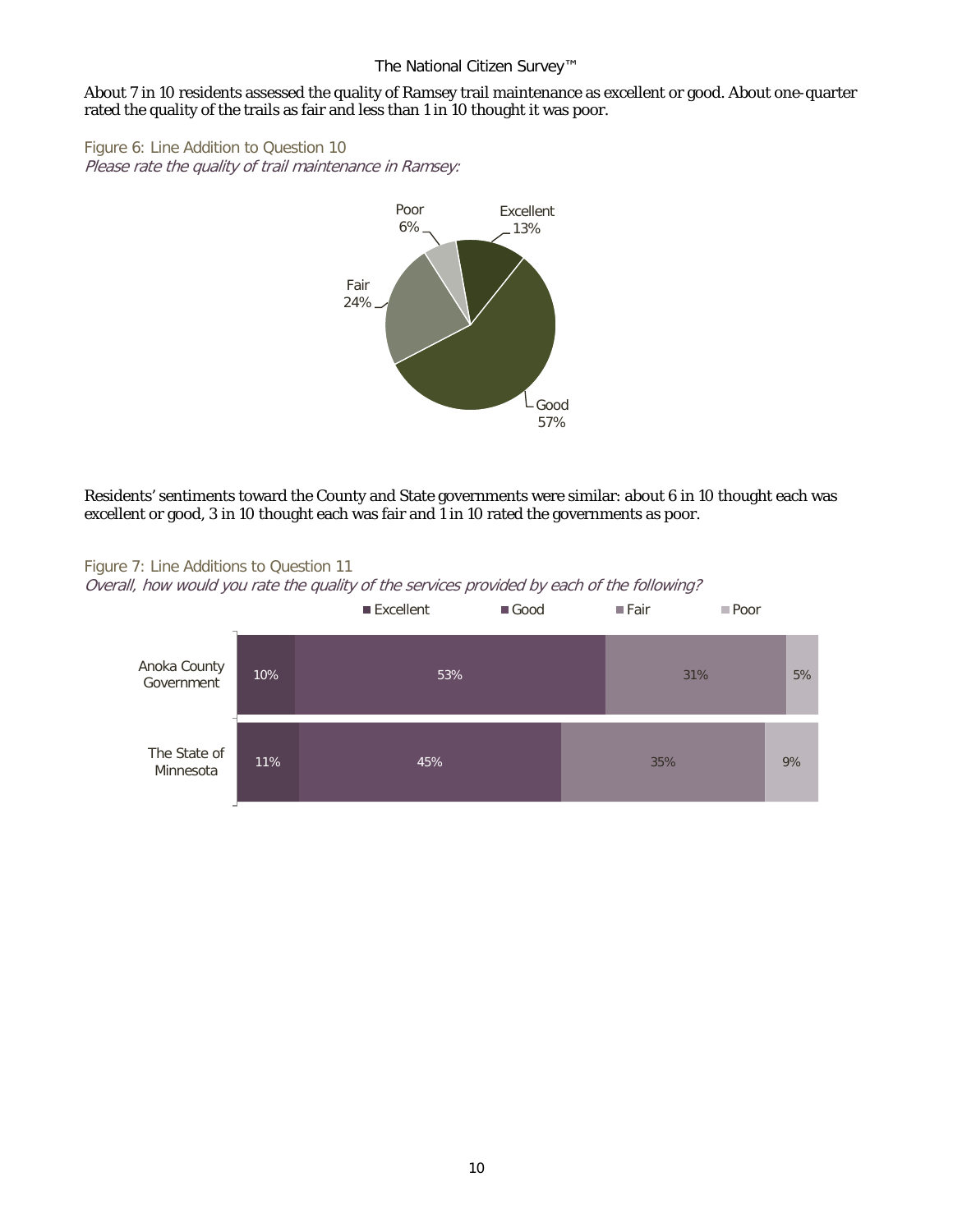#### About 7 in 10 residents assessed the quality of Ramsey trail maintenance as excellent or good. About one-quarter rated the quality of the trails as fair and less than 1 in 10 thought it was poor.

Figure 6: Line Addition to Question 10 Please rate the quality of trail maintenance in Ramsey:



Residents' sentiments toward the County and State governments were similar: about 6 in 10 thought each was excellent or good, 3 in 10 thought each was fair and 1 in 10 rated the governments as poor.



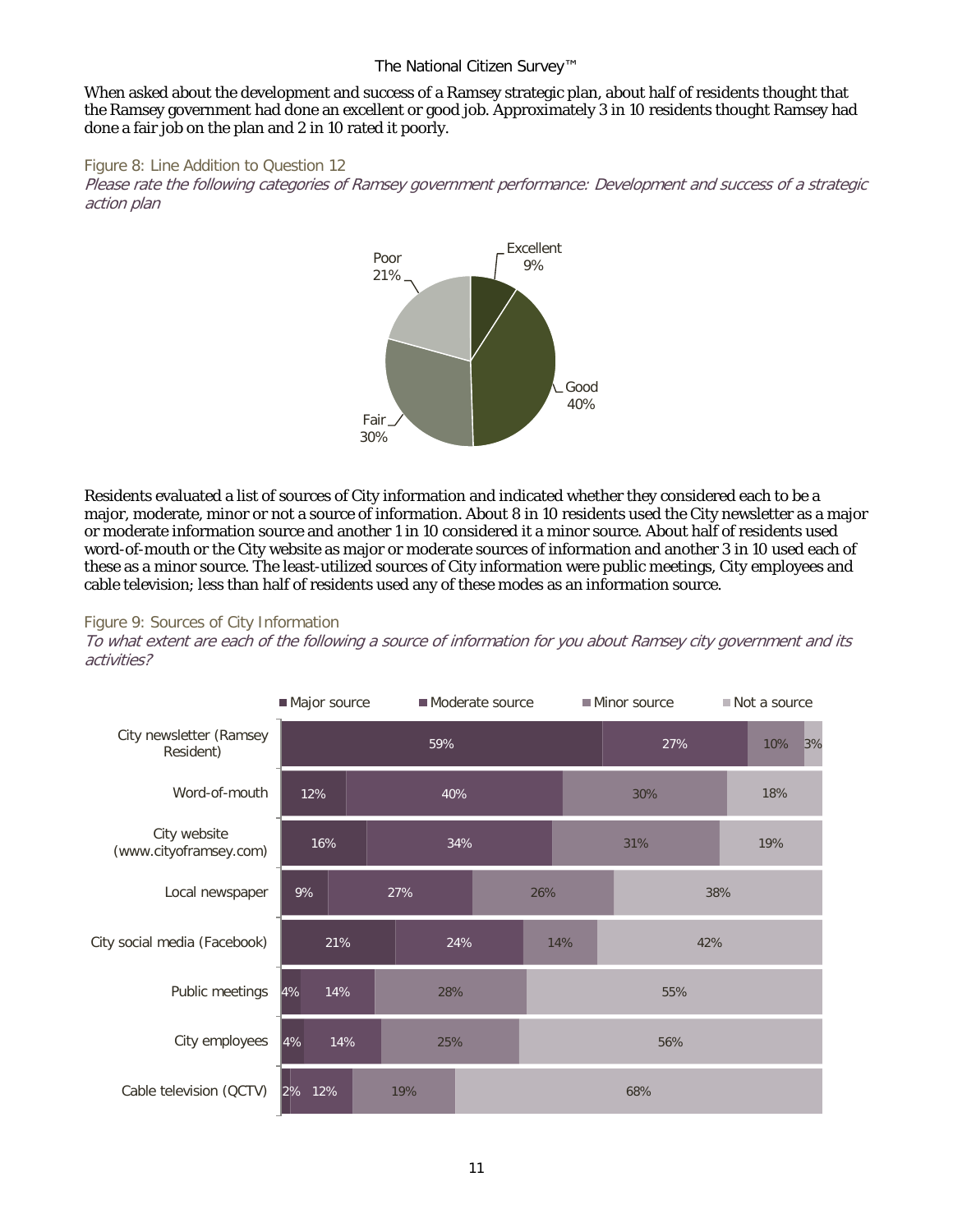When asked about the development and success of a Ramsey strategic plan, about half of residents thought that the Ramsey government had done an excellent or good job. Approximately 3 in 10 residents thought Ramsey had done a fair job on the plan and 2 in 10 rated it poorly.



Please rate the following categories of Ramsey government performance: Development and success of a strategic action plan



Residents evaluated a list of sources of City information and indicated whether they considered each to be a major, moderate, minor or not a source of information. About 8 in 10 residents used the City newsletter as a major or moderate information source and another 1 in 10 considered it a minor source. About half of residents used word-of-mouth or the City website as major or moderate sources of information and another 3 in 10 used each of these as a minor source. The least-utilized sources of City information were public meetings, City employees and cable television; less than half of residents used any of these modes as an information source.

#### Figure 9: Sources of City Information

To what extent are each of the following a source of information for you about Ramsey city government and its activities?

|                                        | Major source |            | Moderate source |     |     |            | Minor source |  | Not a source |    |
|----------------------------------------|--------------|------------|-----------------|-----|-----|------------|--------------|--|--------------|----|
| City newsletter (Ramsey<br>Resident)   |              |            | 59%             |     |     |            | 27%          |  | 10%          | 3% |
| Word-of-mouth                          | 12%          |            |                 | 40% |     |            | 30%          |  | 18%          |    |
| City website<br>(www.cityoframsey.com) |              | 16%        |                 | 34% |     |            | 31%          |  | 19%          |    |
| Local newspaper                        | 9%           |            | 27%             |     | 26% |            | 38%          |  |              |    |
| City social media (Facebook)           |              | 21%        | 24%             |     |     | 14%<br>42% |              |  |              |    |
| Public meetings                        | 4%           | 14%        |                 | 28% |     | 55%        |              |  |              |    |
| City employees                         | 4%           | 14%<br>25% |                 |     |     |            | 56%          |  |              |    |
| Cable television (QCTV)                | 2%<br>12%    |            | 19%             |     |     |            | 68%          |  |              |    |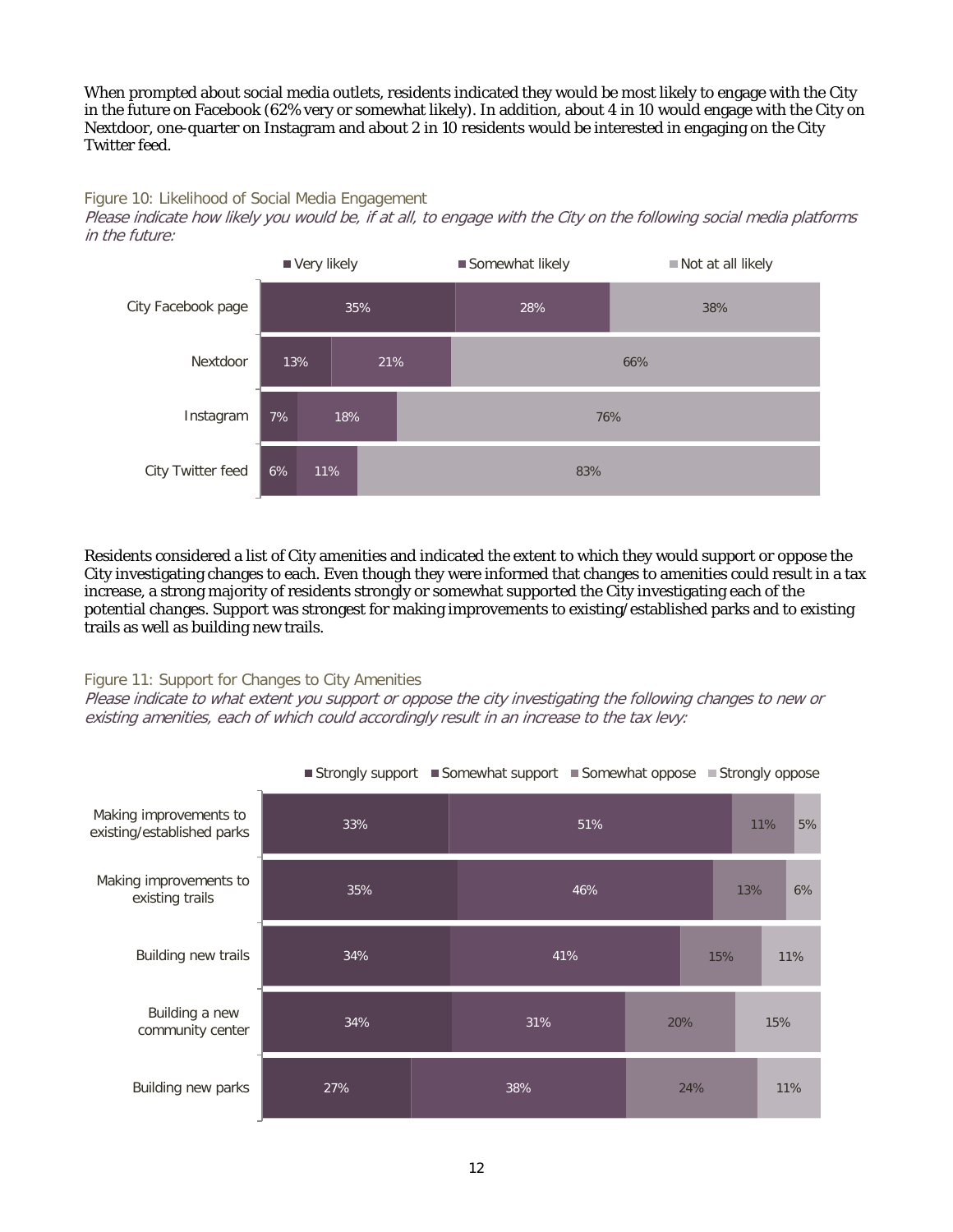When prompted about social media outlets, residents indicated they would be most likely to engage with the City in the future on Facebook (62% very or somewhat likely). In addition, about 4 in 10 would engage with the City on Nextdoor, one-quarter on Instagram and about 2 in 10 residents would be interested in engaging on the City Twitter feed.

#### Figure 10: Likelihood of Social Media Engagement

Please indicate how likely you would be, if at all, to engage with the City on the following social media platforms in the future:



Residents considered a list of City amenities and indicated the extent to which they would support or oppose the City investigating changes to each. Even though they were informed that changes to amenities could result in a tax increase, a strong majority of residents strongly or somewhat supported the City investigating each of the potential changes. Support was strongest for making improvements to existing/established parks and to existing trails as well as building new trails.

#### Figure 11: Support for Changes to City Amenities

Please indicate to what extent you support or oppose the city investigating the following changes to new or existing amenities, each of which could accordingly result in an increase to the tax levy:

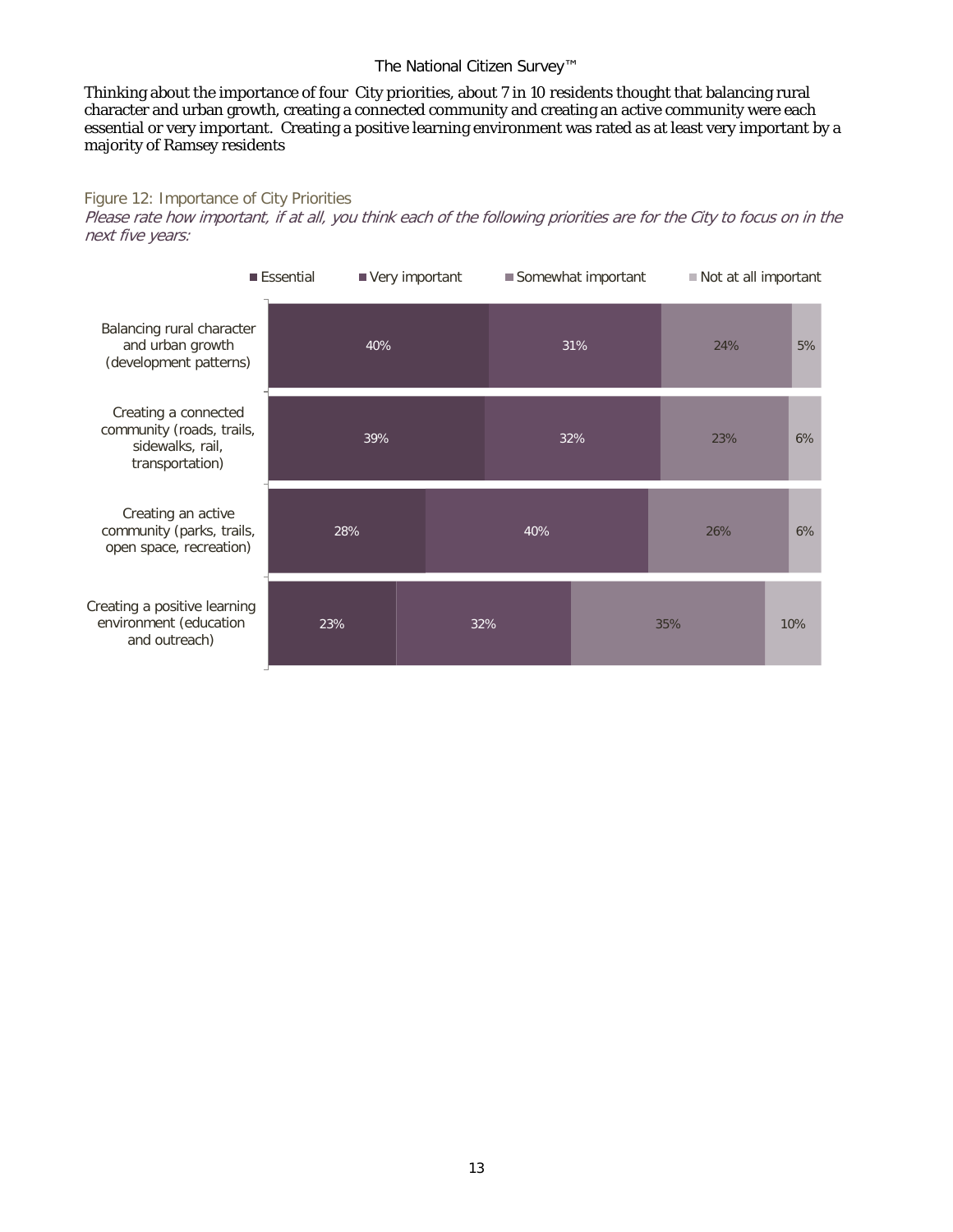Thinking about the importance of four City priorities, about 7 in 10 residents thought that balancing rural character and urban growth, creating a connected community and creating an active community were each essential or very important. Creating a positive learning environment was rated as at least very important by a majority of Ramsey residents

#### Figure 12: Importance of City Priorities

Please rate how important, if at all, you think each of the following priorities are for the City to focus on in the next five years:

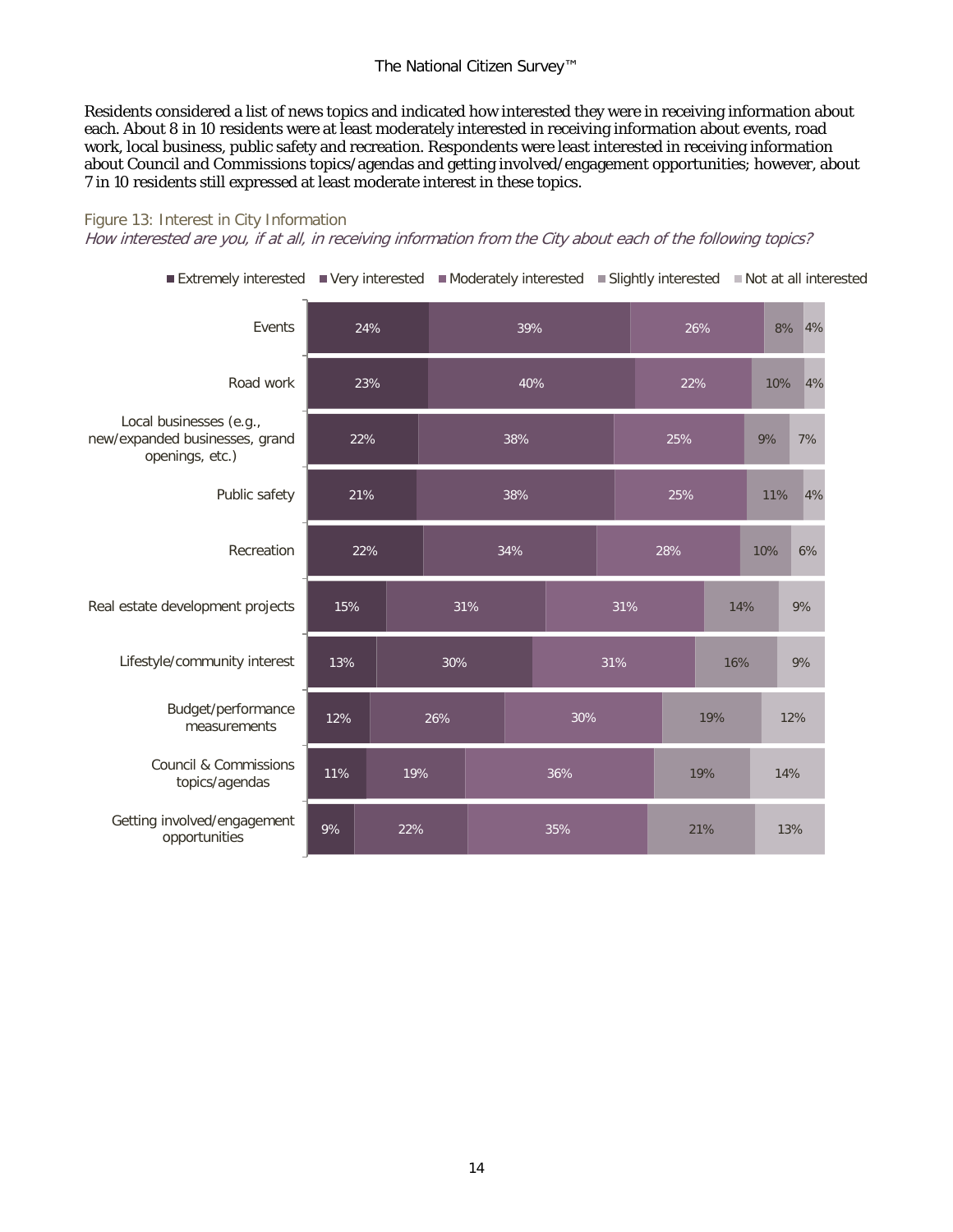Residents considered a list of news topics and indicated how interested they were in receiving information about each. About 8 in 10 residents were at least moderately interested in receiving information about events, road work, local business, public safety and recreation. Respondents were least interested in receiving information about Council and Commissions topics/agendas and getting involved/engagement opportunities; however, about 7 in 10 residents still expressed at least moderate interest in these topics.

#### Figure 13: Interest in City Information

How interested are you, if at all, in receiving information from the City about each of the following topics?

9% 11% 12% 13% 15% 22% 21% 22% 23% 24% 22% 19% 26% 30% 31% 34% 38% 38% 40% 39% 35% 36% 30% 31% 31% 28% 25% 25% 22% 26% 21% 19% 19% 16% 14% 10% 11% 9% 10% 8% 4% 13% 14% 12% 9% 9% 6% 4% 7% 4% Getting involved/engagement opportunities Council & Commissions topics/agendas Budget/performance measurements Lifestyle/community interest Real estate development projects Recreation Public safety Local businesses (e.g., new/expanded businesses, grand openings, etc.) Road work Events **■Extremely interested**  $\blacksquare$  **Very interested**  $\blacksquare$  **Moderately interested**  $\blacksquare$  **Slightly interested**  $\blacksquare$  **Not at all interested**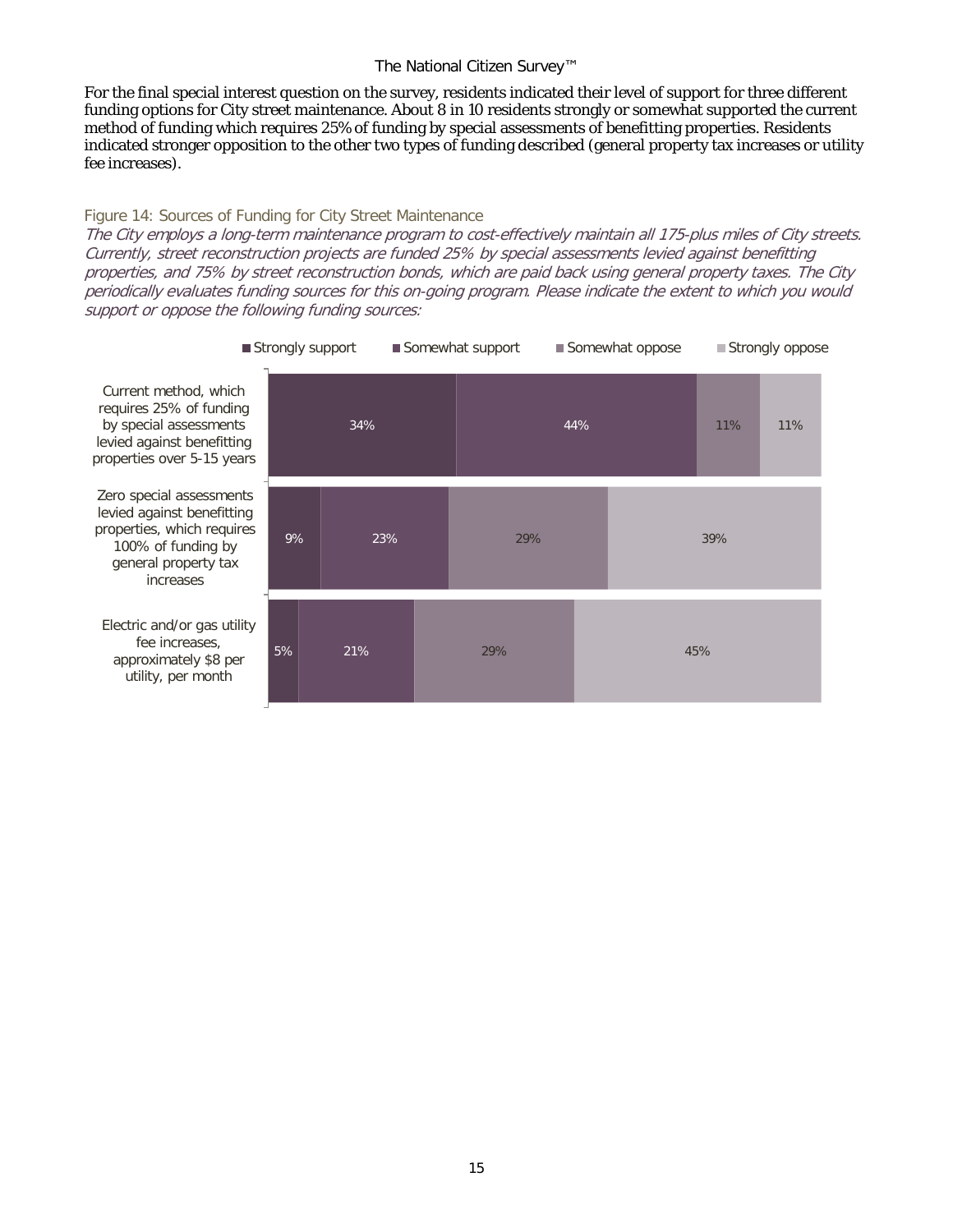For the final special interest question on the survey, residents indicated their level of support for three different funding options for City street maintenance. About 8 in 10 residents strongly or somewhat supported the current method of funding which requires 25% of funding by special assessments of benefitting properties. Residents indicated stronger opposition to the other two types of funding described (general property tax increases or utility fee increases).

#### Figure 14: Sources of Funding for City Street Maintenance

The City employs a long-term maintenance program to cost-effectively maintain all 175-plus miles of City streets. Currently, street reconstruction projects are funded 25% by special assessments levied against benefitting properties, and 75% by street reconstruction bonds, which are paid back using general property taxes. The City periodically evaluates funding sources for this on-going program. Please indicate the extent to which you would support or oppose the following funding sources:

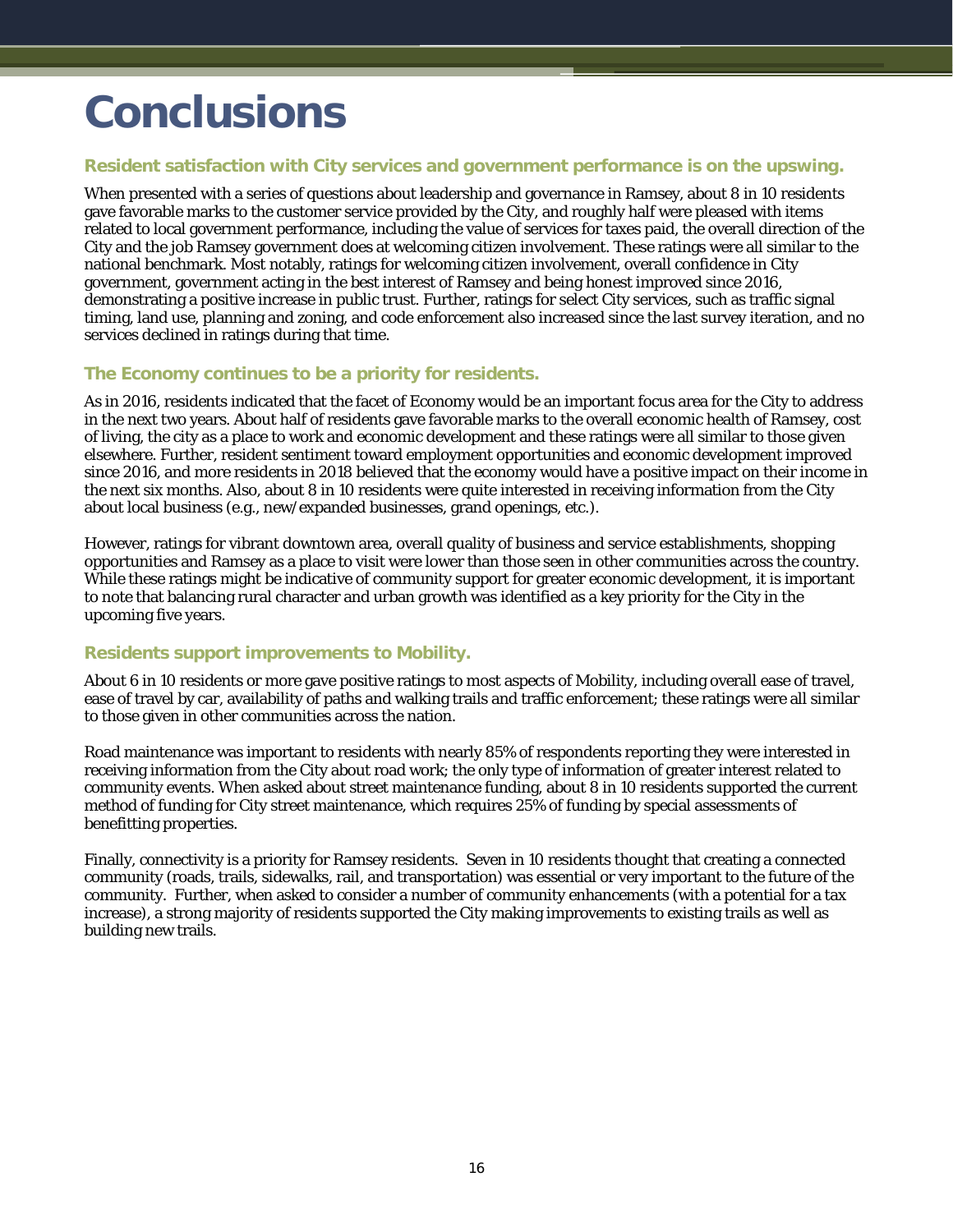## <span id="page-17-0"></span>**Conclusions**

#### **Resident satisfaction with City services and government performance is on the upswing.**

When presented with a series of questions about leadership and governance in Ramsey, about 8 in 10 residents gave favorable marks to the customer service provided by the City, and roughly half were pleased with items related to local government performance, including the value of services for taxes paid, the overall direction of the City and the job Ramsey government does at welcoming citizen involvement. These ratings were all similar to the national benchmark. Most notably, ratings for welcoming citizen involvement, overall confidence in City government, government acting in the best interest of Ramsey and being honest improved since 2016, demonstrating a positive increase in public trust. Further, ratings for select City services, such as traffic signal timing, land use, planning and zoning, and code enforcement also increased since the last survey iteration, and no services declined in ratings during that time.

#### **The Economy continues to be a priority for residents.**

As in 2016, residents indicated that the facet of Economy would be an important focus area for the City to address in the next two years. About half of residents gave favorable marks to the overall economic health of Ramsey, cost of living, the city as a place to work and economic development and these ratings were all similar to those given elsewhere. Further, resident sentiment toward employment opportunities and economic development improved since 2016, and more residents in 2018 believed that the economy would have a positive impact on their income in the next six months. Also, about 8 in 10 residents were quite interested in receiving information from the City about local business (e.g., new/expanded businesses, grand openings, etc.).

However, ratings for vibrant downtown area, overall quality of business and service establishments, shopping opportunities and Ramsey as a place to visit were lower than those seen in other communities across the country. While these ratings might be indicative of community support for greater economic development, it is important to note that balancing rural character and urban growth was identified as a key priority for the City in the upcoming five years.

#### **Residents support improvements to Mobility.**

About 6 in 10 residents or more gave positive ratings to most aspects of Mobility, including overall ease of travel, ease of travel by car, availability of paths and walking trails and traffic enforcement; these ratings were all similar to those given in other communities across the nation.

Road maintenance was important to residents with nearly 85% of respondents reporting they were interested in receiving information from the City about road work; the only type of information of greater interest related to community events. When asked about street maintenance funding, about 8 in 10 residents supported the current method of funding for City street maintenance, which requires 25% of funding by special assessments of benefitting properties.

Finally, connectivity is a priority for Ramsey residents. Seven in 10 residents thought that creating a connected community (roads, trails, sidewalks, rail, and transportation) was essential or very important to the future of the community. Further, when asked to consider a number of community enhancements (with a potential for a tax increase), a strong majority of residents supported the City making improvements to existing trails as well as building new trails.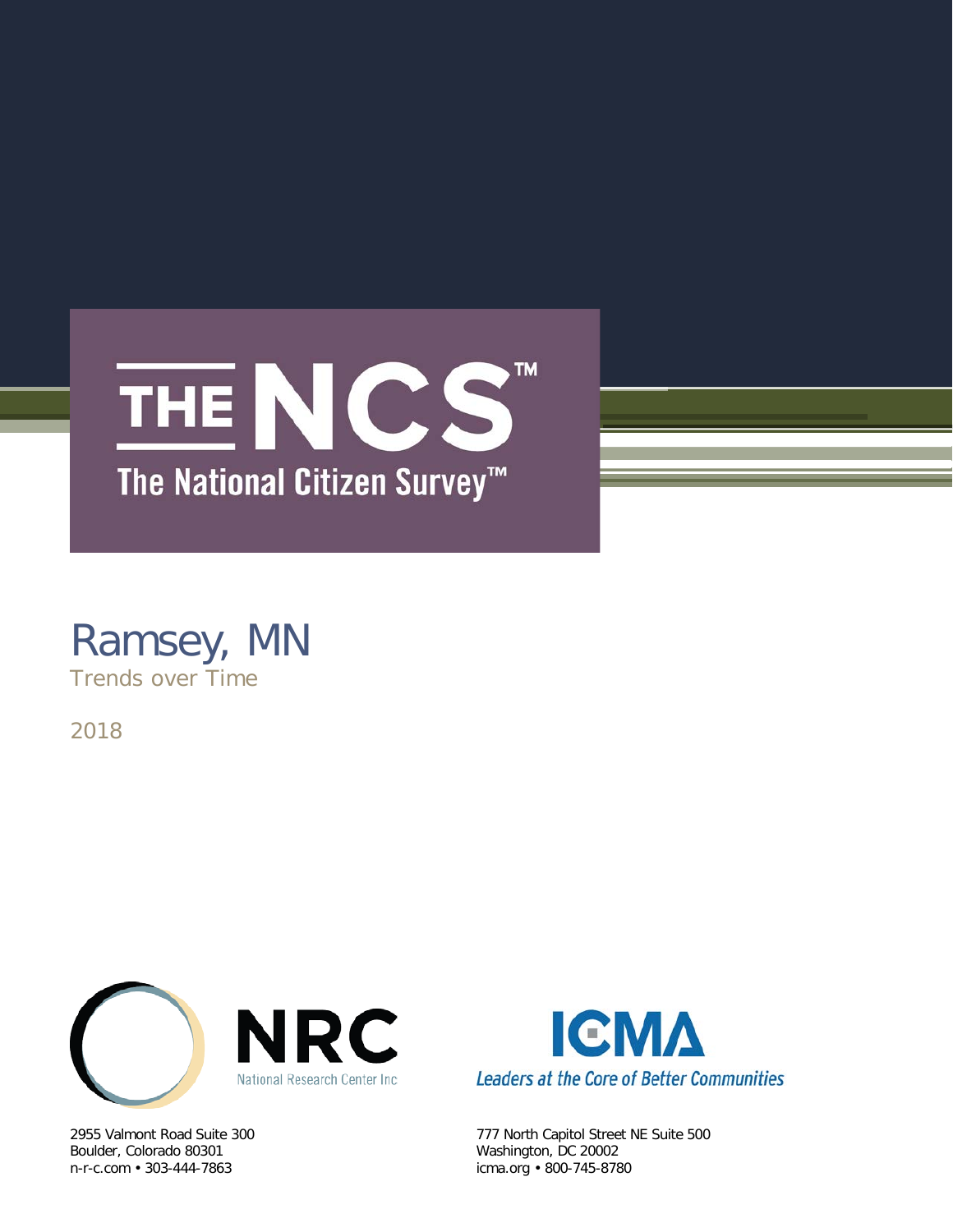

### Ramsey, MN Trends over Time

2018



Boulder, Colorado 80301 Washington, DC 20002<br>
n-r-c.com • 303-444-7863 (icma.org • 800-745-878



2955 Valmont Road Suite 300 777 North Capitol Street NE Suite 500 icma.org • 800-745-8780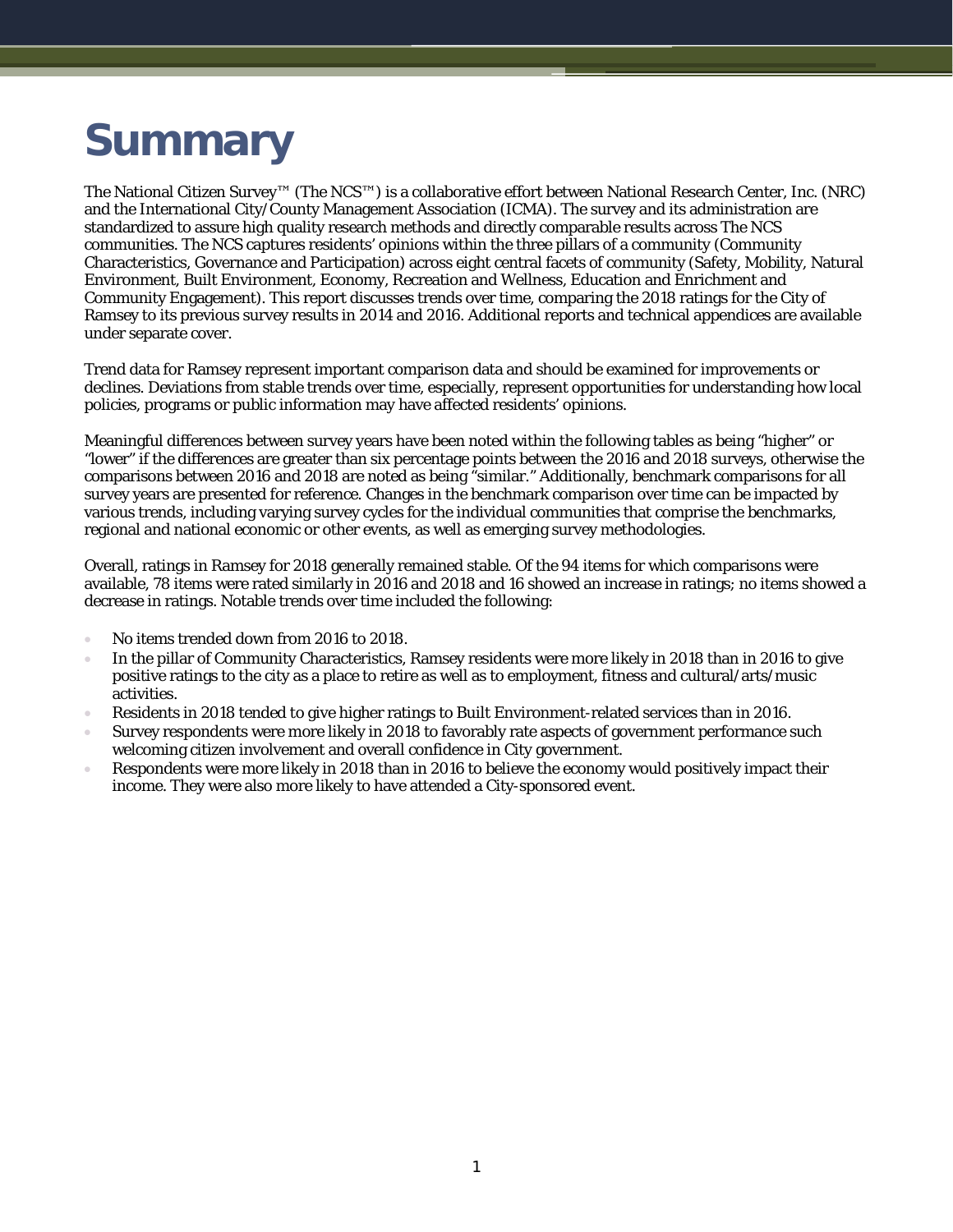# **Summary**

The National Citizen Survey™ (The NCS™) is a collaborative effort between National Research Center, Inc. (NRC) and the International City/County Management Association (ICMA). The survey and its administration are standardized to assure high quality research methods and directly comparable results across The NCS communities. The NCS captures residents' opinions within the three pillars of a community (Community Characteristics, Governance and Participation) across eight central facets of community (Safety, Mobility, Natural Environment, Built Environment, Economy, Recreation and Wellness, Education and Enrichment and Community Engagement). This report discusses trends over time, comparing the 2018 ratings for the City of Ramsey to its previous survey results in 2014 and 2016. Additional reports and technical appendices are available under separate cover.

Trend data for Ramsey represent important comparison data and should be examined for improvements or declines. Deviations from stable trends over time, especially, represent opportunities for understanding how local policies, programs or public information may have affected residents' opinions.

Meaningful differences between survey years have been noted within the following tables as being "higher" or "lower" if the differences are greater than six percentage points between the 2016 and 2018 surveys, otherwise the comparisons between 2016 and 2018 are noted as being "similar." Additionally, benchmark comparisons for all survey years are presented for reference. Changes in the benchmark comparison over time can be impacted by various trends, including varying survey cycles for the individual communities that comprise the benchmarks, regional and national economic or other events, as well as emerging survey methodologies.

Overall, ratings in Ramsey for 2018 generally remained stable. Of the 94 items for which comparisons were available, 78 items were rated similarly in 2016 and 2018 and 16 showed an increase in ratings; no items showed a decrease in ratings. Notable trends over time included the following:

- No items trended down from 2016 to 2018.
- In the pillar of Community Characteristics, Ramsey residents were more likely in 2018 than in 2016 to give positive ratings to the city as a place to retire as well as to employment, fitness and cultural/arts/music activities.
- Residents in 2018 tended to give higher ratings to Built Environment-related services than in 2016.
- Survey respondents were more likely in 2018 to favorably rate aspects of government performance such welcoming citizen involvement and overall confidence in City government.
- Respondents were more likely in 2018 than in 2016 to believe the economy would positively impact their income. They were also more likely to have attended a City-sponsored event.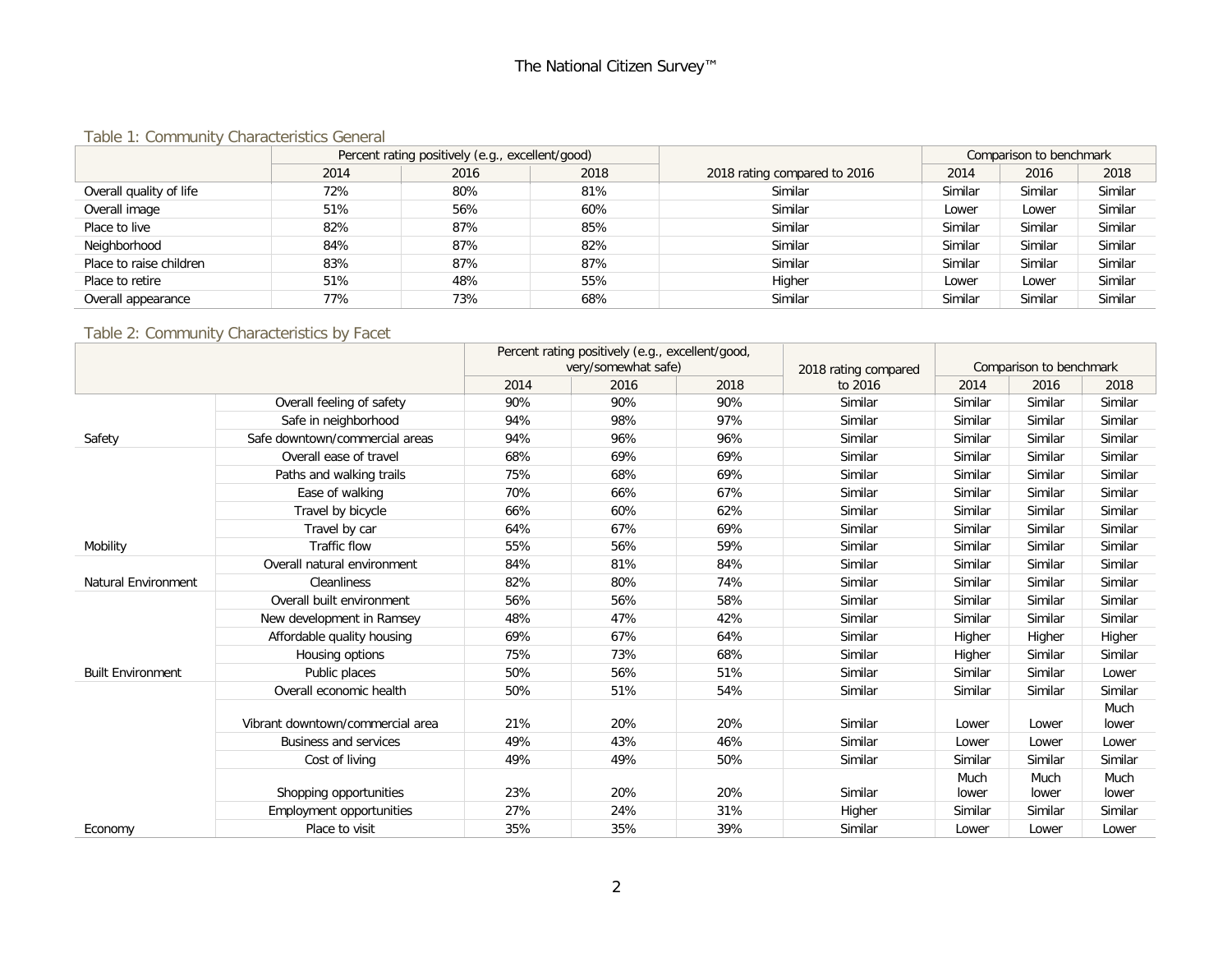#### Table 1: Community Characteristics General

|                         | Percent rating positively (e.g., excellent/good) |      |      |                              | Comparison to benchmark |         |         |
|-------------------------|--------------------------------------------------|------|------|------------------------------|-------------------------|---------|---------|
|                         | 2014                                             | 2016 | 2018 | 2018 rating compared to 2016 | 2014                    | 2016    | 2018    |
| Overall quality of life | 72%                                              | 80%  | 81%  | Similar                      | Similar                 | Similar | Similar |
| Overall image           | 51%                                              | 56%  | 60%  | Similar                      | Lower                   | Lower   | Similar |
| Place to live           | 82%                                              | 87%  | 85%  | Similar                      | Similar                 | Similar | Similar |
| Neighborhood            | 84%                                              | 87%  | 82%  | Similar                      | Similar                 | Similar | Similar |
| Place to raise children | 83%                                              | 87%  | 87%  | Similar                      | Similar                 | Similar | Similar |
| Place to retire         | 51%                                              | 48%  | 55%  | Higher                       | Lower                   | Lower   | Similar |
| Overall appearance      | 77%                                              | 73%  | 68%  | Similar                      | Similar                 | Similar | Similar |

#### Table 2: Community Characteristics by Facet

|                            |                                  | Percent rating positively (e.g., excellent/good,<br>very/somewhat safe)<br>2018 rating compared |      |      | Comparison to benchmark |               |               |               |
|----------------------------|----------------------------------|-------------------------------------------------------------------------------------------------|------|------|-------------------------|---------------|---------------|---------------|
|                            |                                  | 2014                                                                                            | 2016 | 2018 | to 2016                 | 2014          | 2016          | 2018          |
|                            | Overall feeling of safety        | 90%                                                                                             | 90%  | 90%  | Similar                 | Similar       | Similar       | Similar       |
|                            | Safe in neighborhood             | 94%                                                                                             | 98%  | 97%  | Similar                 | Similar       | Similar       | Similar       |
| Safety                     | Safe downtown/commercial areas   | 94%                                                                                             | 96%  | 96%  | Similar                 | Similar       | Similar       | Similar       |
|                            | Overall ease of travel           | 68%                                                                                             | 69%  | 69%  | Similar                 | Similar       | Similar       | Similar       |
|                            | Paths and walking trails         | 75%                                                                                             | 68%  | 69%  | Similar                 | Similar       | Similar       | Similar       |
|                            | Ease of walking                  | 70%                                                                                             | 66%  | 67%  | Similar                 | Similar       | Similar       | Similar       |
|                            | Travel by bicycle                | 66%                                                                                             | 60%  | 62%  | Similar                 | Similar       | Similar       | Similar       |
|                            | Travel by car                    | 64%                                                                                             | 67%  | 69%  | Similar                 | Similar       | Similar       | Similar       |
| Mobility                   | Traffic flow                     | 55%                                                                                             | 56%  | 59%  | Similar                 | Similar       | Similar       | Similar       |
|                            | Overall natural environment      | 84%                                                                                             | 81%  | 84%  | Similar                 | Similar       | Similar       | Similar       |
| <b>Natural Environment</b> | <b>Cleanliness</b>               | 82%                                                                                             | 80%  | 74%  | Similar                 | Similar       | Similar       | Similar       |
|                            | Overall built environment        | 56%                                                                                             | 56%  | 58%  | Similar                 | Similar       | Similar       | Similar       |
|                            | New development in Ramsey        | 48%                                                                                             | 47%  | 42%  | Similar                 | Similar       | Similar       | Similar       |
|                            | Affordable quality housing       | 69%                                                                                             | 67%  | 64%  | Similar                 | Higher        | Higher        | Higher        |
|                            | Housing options                  | 75%                                                                                             | 73%  | 68%  | Similar                 | Higher        | Similar       | Similar       |
| <b>Built Environment</b>   | Public places                    | 50%                                                                                             | 56%  | 51%  | Similar                 | Similar       | Similar       | Lower         |
|                            | Overall economic health          | 50%                                                                                             | 51%  | 54%  | Similar                 | Similar       | Similar       | Similar       |
|                            |                                  |                                                                                                 |      |      |                         |               |               | Much          |
|                            | Vibrant downtown/commercial area | 21%                                                                                             | 20%  | 20%  | Similar                 | Lower         | Lower         | lower         |
|                            | <b>Business and services</b>     | 49%                                                                                             | 43%  | 46%  | Similar                 | Lower         | Lower         | Lower         |
|                            | Cost of living                   | 49%                                                                                             | 49%  | 50%  | Similar                 | Similar       | Similar       | Similar       |
|                            | Shopping opportunities           | 23%                                                                                             | 20%  | 20%  | Similar                 | Much<br>lower | Much<br>lower | Much<br>lower |
|                            | <b>Employment opportunities</b>  | 27%                                                                                             | 24%  | 31%  | Higher                  | Similar       | Similar       | Similar       |
| Economy                    | Place to visit                   | 35%                                                                                             | 35%  | 39%  | Similar                 | Lower         | Lower         | Lower         |
|                            |                                  |                                                                                                 |      |      |                         |               |               |               |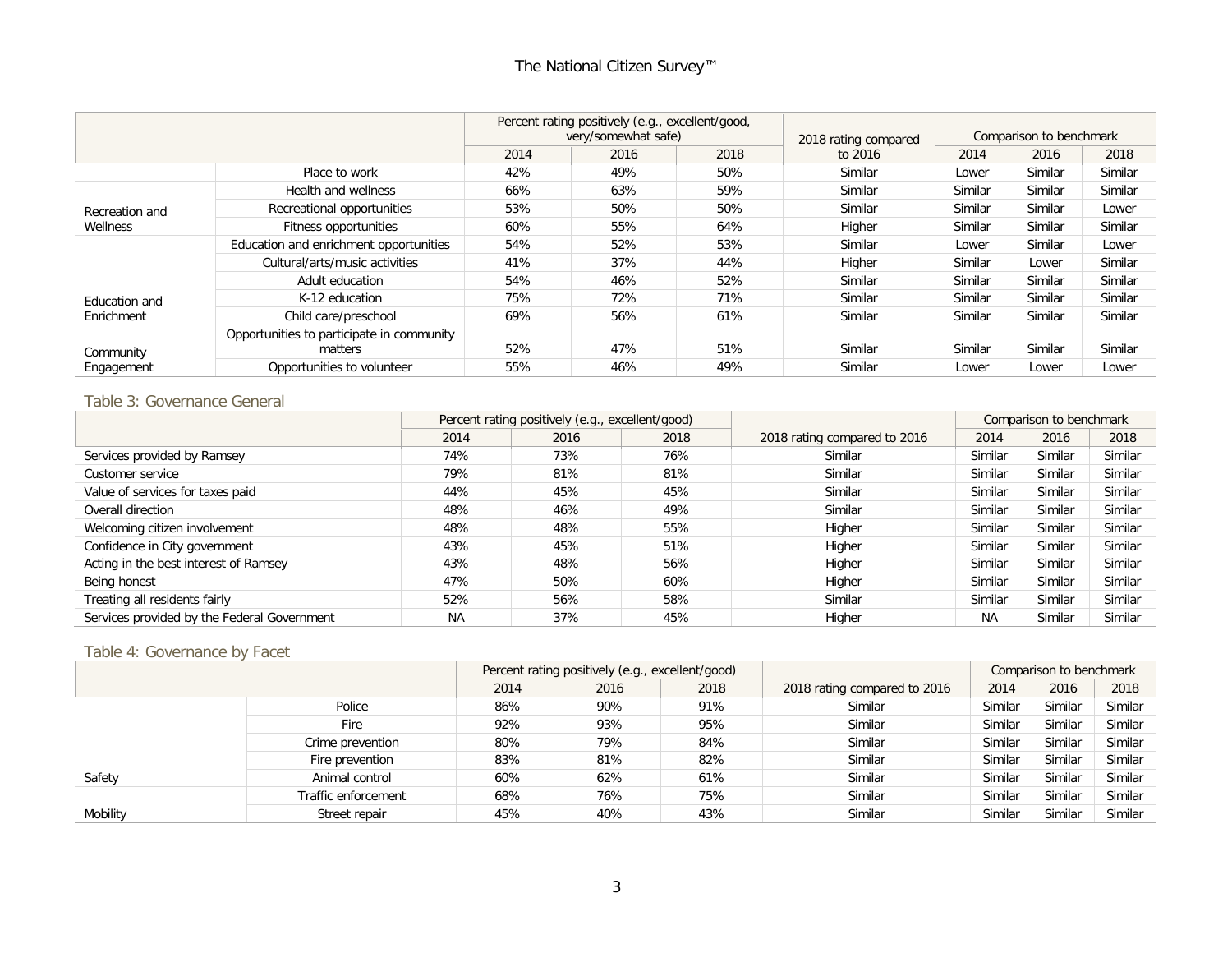|                |                                                      |      | Percent rating positively (e.g., excellent/good,<br>very/somewhat safe) |      | 2018 rating compared | Comparison to benchmark |         |         |
|----------------|------------------------------------------------------|------|-------------------------------------------------------------------------|------|----------------------|-------------------------|---------|---------|
|                |                                                      | 2014 | 2016                                                                    | 2018 | to 2016              | 2014                    | 2016    | 2018    |
|                | Place to work                                        | 42%  | 49%                                                                     | 50%  | Similar              | Lower                   | Similar | Similar |
|                | Health and wellness                                  | 66%  | 63%                                                                     | 59%  | Similar              | Similar                 | Similar | Similar |
| Recreation and | Recreational opportunities                           | 53%  | 50%                                                                     | 50%  | Similar              | Similar                 | Similar | Lower   |
| Wellness       | Fitness opportunities                                | 60%  | 55%                                                                     | 64%  | Higher               | Similar                 | Similar | Similar |
|                | Education and enrichment opportunities               | 54%  | 52%                                                                     | 53%  | Similar              | Lower                   | Similar | Lower   |
|                | Cultural/arts/music activities                       | 41%  | 37%                                                                     | 44%  | Higher               | Similar                 | Lower   | Similar |
|                | Adult education                                      | 54%  | 46%                                                                     | 52%  | Similar              | Similar                 | Similar | Similar |
| Education and  | K-12 education                                       | 75%  | 72%                                                                     | 71%  | Similar              | Similar                 | Similar | Similar |
| Enrichment     | Child care/preschool                                 | 69%  | 56%                                                                     | 61%  | Similar              | Similar                 | Similar | Similar |
| Community      | Opportunities to participate in community<br>matters | 52%  | 47%                                                                     | 51%  | Similar              | Similar                 | Similar | Similar |
| Engagement     | Opportunities to volunteer                           | 55%  | 46%                                                                     | 49%  | Similar              | Lower                   | Lower   | Lower   |

#### Table 3: Governance General

|                                             | Percent rating positively (e.g., excellent/good) |      |      |                              | Comparison to benchmark |         |         |
|---------------------------------------------|--------------------------------------------------|------|------|------------------------------|-------------------------|---------|---------|
|                                             | 2014                                             | 2016 | 2018 | 2018 rating compared to 2016 | 2014                    | 2016    | 2018    |
| Services provided by Ramsey                 | 74%                                              | 73%  | 76%  | Similar                      | Similar                 | Similar | Similar |
| Customer service                            | 79%                                              | 81%  | 81%  | Similar                      | Similar                 | Similar | Similar |
| Value of services for taxes paid            | 44%                                              | 45%  | 45%  | Similar                      | Similar                 | Similar | Similar |
| Overall direction                           | 48%                                              | 46%  | 49%  | Similar                      | Similar                 | Similar | Similar |
| Welcoming citizen involvement               | 48%                                              | 48%  | 55%  | Higher                       | Similar                 | Similar | Similar |
| Confidence in City government               | 43%                                              | 45%  | 51%  | Higher                       | Similar                 | Similar | Similar |
| Acting in the best interest of Ramsey       | 43%                                              | 48%  | 56%  | Higher                       | Similar                 | Similar | Similar |
| Being honest                                | 47%                                              | 50%  | 60%  | Higher                       | Similar                 | Similar | Similar |
| Treating all residents fairly               | 52%                                              | 56%  | 58%  | Similar                      | Similar                 | Similar | Similar |
| Services provided by the Federal Government | <b>NA</b>                                        | 37%  | 45%  | Higher                       | <b>NA</b>               | Similar | Similar |

#### Table 4: Governance by Facet

|          |                     | Percent rating positively (e.g., excellent/good) |      |      |                              | Comparison to benchmark |         |         |
|----------|---------------------|--------------------------------------------------|------|------|------------------------------|-------------------------|---------|---------|
|          |                     | 2014                                             | 2016 | 2018 | 2018 rating compared to 2016 | 2014                    | 2016    | 2018    |
|          | Police              | 86%                                              | 90%  | 91%  | Similar                      | Similar                 | Similar | Similar |
|          | Fire                | 92%                                              | 93%  | 95%  | Similar                      | Similar                 | Similar | Similar |
|          | Crime prevention    | 80%                                              | 79%  | 84%  | Similar                      | Similar                 | Similar | Similar |
|          | Fire prevention     | 83%                                              | 81%  | 82%  | Similar                      | Similar                 | Similar | Similar |
| Safety   | Animal control      | 60%                                              | 62%  | 61%  | Similar                      | Similar                 | Similar | Similar |
|          | Traffic enforcement | 68%                                              | 76%  | 75%  | Similar                      | Similar                 | Similar | Similar |
| Mobility | Street repair       | 45%                                              | 40%  | 43%  | Similar                      | Similar                 | Similar | Similar |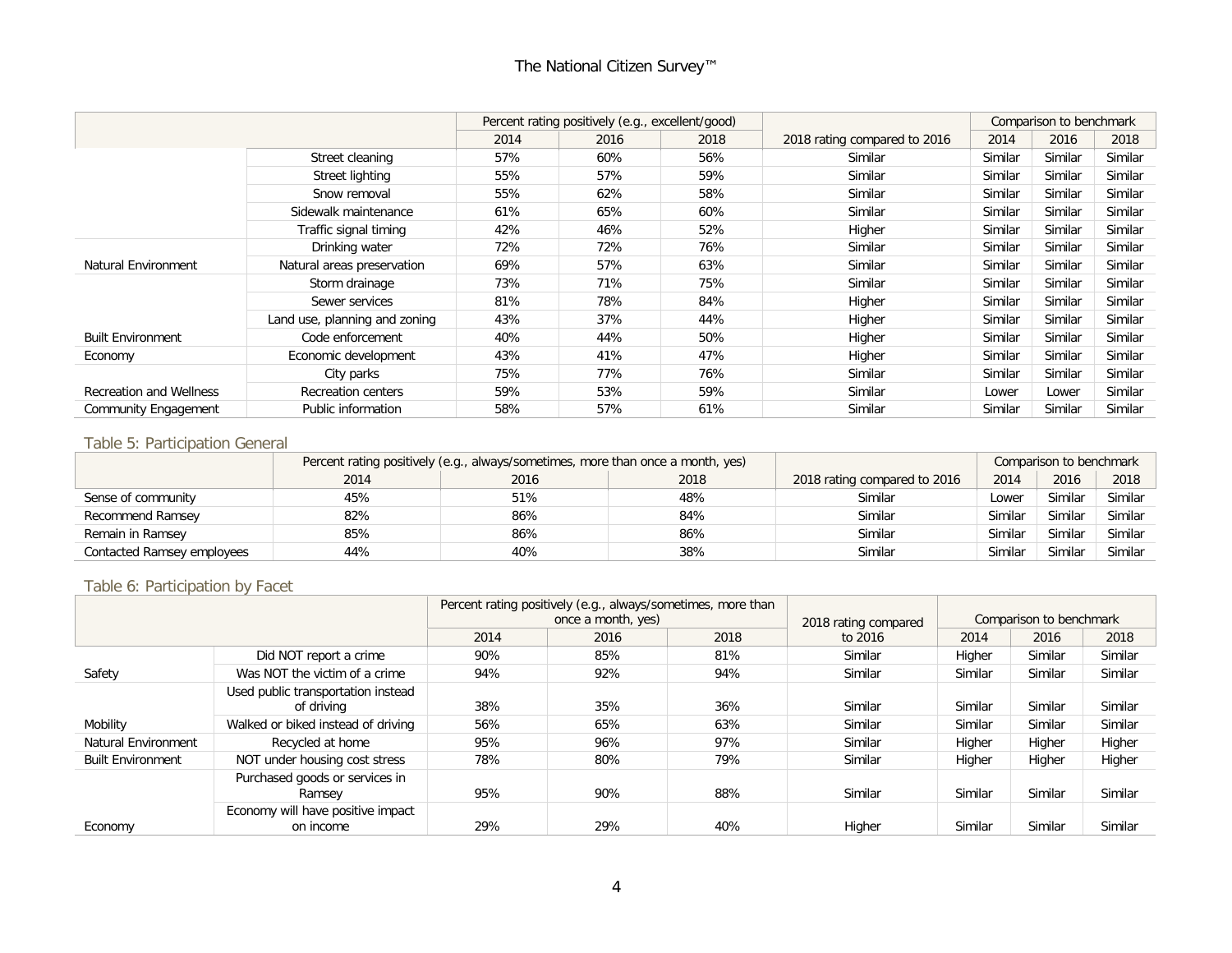|                                |                               |      | Percent rating positively (e.g., excellent/good) |      |                              |         | Comparison to benchmark |         |
|--------------------------------|-------------------------------|------|--------------------------------------------------|------|------------------------------|---------|-------------------------|---------|
|                                |                               | 2014 | 2016                                             | 2018 | 2018 rating compared to 2016 | 2014    | 2016                    | 2018    |
|                                | Street cleaning               | 57%  | 60%                                              | 56%  | Similar                      | Similar | Similar                 | Similar |
|                                | Street lighting               | 55%  | 57%                                              | 59%  | Similar                      | Similar | Similar                 | Similar |
|                                | Snow removal                  | 55%  | 62%                                              | 58%  | Similar                      | Similar | Similar                 | Similar |
|                                | Sidewalk maintenance          | 61%  | 65%                                              | 60%  | Similar                      | Similar | Similar                 | Similar |
|                                | Traffic signal timing         | 42%  | 46%                                              | 52%  | Higher                       | Similar | Similar                 | Similar |
|                                | Drinking water                | 72%  | 72%                                              | 76%  | Similar                      | Similar | Similar                 | Similar |
| <b>Natural Environment</b>     | Natural areas preservation    | 69%  | 57%                                              | 63%  | Similar                      | Similar | Similar                 | Similar |
|                                | Storm drainage                | 73%  | 71%                                              | 75%  | Similar                      | Similar | Similar                 | Similar |
|                                | Sewer services                | 81%  | 78%                                              | 84%  | Higher                       | Similar | Similar                 | Similar |
|                                | Land use, planning and zoning | 43%  | 37%                                              | 44%  | Higher                       | Similar | Similar                 | Similar |
| <b>Built Environment</b>       | Code enforcement              | 40%  | 44%                                              | 50%  | Higher                       | Similar | Similar                 | Similar |
| Economy                        | Economic development          | 43%  | 41%                                              | 47%  | Higher                       | Similar | Similar                 | Similar |
|                                | City parks                    | 75%  | 77%                                              | 76%  | Similar                      | Similar | Similar                 | Similar |
| <b>Recreation and Wellness</b> | <b>Recreation centers</b>     | 59%  | 53%                                              | 59%  | Similar                      | Lower   | Lower                   | Similar |
| <b>Community Engagement</b>    | Public information            | 58%  | 57%                                              | 61%  | Similar                      | Similar | Similar                 | Similar |

#### Table 5: Participation General

|                            | Percent rating positively (e.g., always/sometimes, more than once a month, yes) |      |      | Comparison to benchmark      |         |         |         |
|----------------------------|---------------------------------------------------------------------------------|------|------|------------------------------|---------|---------|---------|
|                            | 2014                                                                            | 2016 | 2018 | 2018 rating compared to 2016 | 2014    | 2016    | 2018    |
| Sense of community         | 45%                                                                             | 51%  | 48%  | Similar                      | _ower   | Similar | Similar |
| Recommend Ramsey           | 82%                                                                             | 86%  | 84%  | Similar                      | Similar | Similar | Similar |
| Remain in Ramsey           | 85%                                                                             | 86%  | 86%  | Similar                      | Similar | Similar | Similar |
| Contacted Ramsey employees | 44%                                                                             | 40%  | 38%  | Similar                      | Similar | Similar | Similar |

#### Table 6: Participation by Facet

|                          |                                                  |      | Percent rating positively (e.g., always/sometimes, more than<br>once a month, yes) | 2018 rating compared |         | Comparison to benchmark |         |         |
|--------------------------|--------------------------------------------------|------|------------------------------------------------------------------------------------|----------------------|---------|-------------------------|---------|---------|
|                          |                                                  | 2014 | 2016                                                                               | 2018                 | to 2016 | 2014                    | 2016    | 2018    |
|                          | Did NOT report a crime                           | 90%  | 85%                                                                                | 81%                  | Similar | Higher                  | Similar | Similar |
| Safety                   | Was NOT the victim of a crime                    | 94%  | 92%                                                                                | 94%                  | Similar | Similar                 | Similar | Similar |
|                          | Used public transportation instead<br>of driving | 38%  | 35%                                                                                | 36%                  | Similar | Similar                 | Similar | Similar |
| Mobility                 | Walked or biked instead of driving               | 56%  | 65%                                                                                | 63%                  | Similar | Similar                 | Similar | Similar |
| Natural Environment      | Recycled at home                                 | 95%  | 96%                                                                                | 97%                  | Similar | Higher                  | Higher  | Higher  |
| <b>Built Environment</b> | NOT under housing cost stress                    | 78%  | 80%                                                                                | 79%                  | Similar | Higher                  | Higher  | Higher  |
|                          | Purchased goods or services in<br>Ramsey         | 95%  | 90%                                                                                | 88%                  | Similar | Similar                 | Similar | Similar |
| Economy                  | Economy will have positive impact<br>on income   | 29%  | 29%                                                                                | 40%                  | Higher  | Similar                 | Similar | Similar |